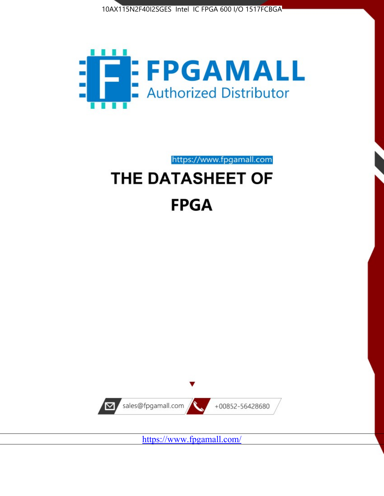



https://www.fpgamall.com

# THE DATASHEET OF **FPGA**



<https://www.fpgamall.com/>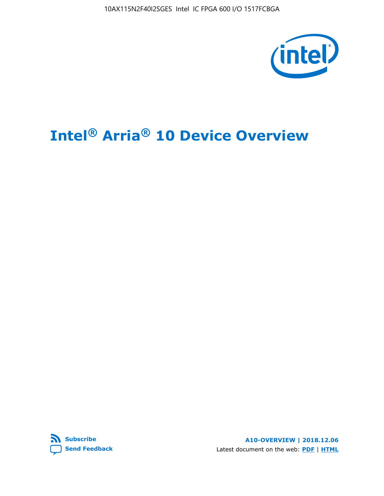10AX115N2F40I2SGES Intel IC FPGA 600 I/O 1517FCBGA



# **Intel® Arria® 10 Device Overview**



**A10-OVERVIEW | 2018.12.06** Latest document on the web: **[PDF](https://www.intel.com/content/dam/www/programmable/us/en/pdfs/literature/hb/arria-10/a10_overview.pdf)** | **[HTML](https://www.intel.com/content/www/us/en/programmable/documentation/sam1403480274650.html)**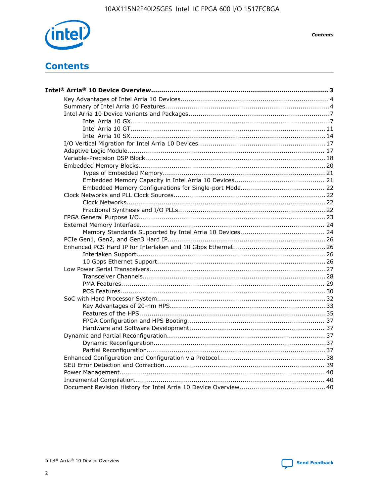

**Contents** 

# **Contents**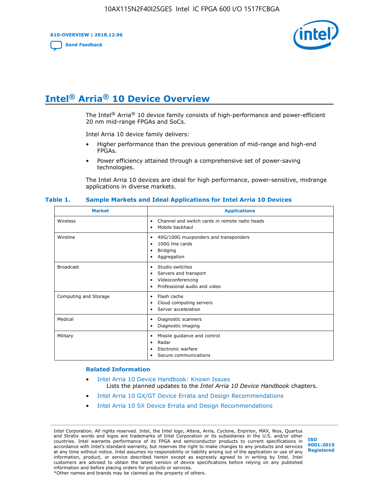**A10-OVERVIEW | 2018.12.06**

**[Send Feedback](mailto:FPGAtechdocfeedback@intel.com?subject=Feedback%20on%20Intel%20Arria%2010%20Device%20Overview%20(A10-OVERVIEW%202018.12.06)&body=We%20appreciate%20your%20feedback.%20In%20your%20comments,%20also%20specify%20the%20page%20number%20or%20paragraph.%20Thank%20you.)**



# **Intel® Arria® 10 Device Overview**

The Intel<sup>®</sup> Arria<sup>®</sup> 10 device family consists of high-performance and power-efficient 20 nm mid-range FPGAs and SoCs.

Intel Arria 10 device family delivers:

- Higher performance than the previous generation of mid-range and high-end FPGAs.
- Power efficiency attained through a comprehensive set of power-saving technologies.

The Intel Arria 10 devices are ideal for high performance, power-sensitive, midrange applications in diverse markets.

| <b>Market</b>         | <b>Applications</b>                                                                                               |
|-----------------------|-------------------------------------------------------------------------------------------------------------------|
| Wireless              | Channel and switch cards in remote radio heads<br>٠<br>Mobile backhaul<br>٠                                       |
| Wireline              | 40G/100G muxponders and transponders<br>٠<br>100G line cards<br>٠<br><b>Bridging</b><br>٠<br>Aggregation<br>٠     |
| <b>Broadcast</b>      | Studio switches<br>٠<br>Servers and transport<br>٠<br>Videoconferencing<br>٠<br>Professional audio and video<br>٠ |
| Computing and Storage | Flash cache<br>٠<br>Cloud computing servers<br>٠<br>Server acceleration<br>٠                                      |
| Medical               | Diagnostic scanners<br>٠<br>Diagnostic imaging<br>٠                                                               |
| Military              | Missile guidance and control<br>٠<br>Radar<br>٠<br>Electronic warfare<br>٠<br>Secure communications<br>٠          |

#### **Table 1. Sample Markets and Ideal Applications for Intel Arria 10 Devices**

#### **Related Information**

- [Intel Arria 10 Device Handbook: Known Issues](http://www.altera.com/support/kdb/solutions/rd07302013_646.html) Lists the planned updates to the *Intel Arria 10 Device Handbook* chapters.
- [Intel Arria 10 GX/GT Device Errata and Design Recommendations](https://www.intel.com/content/www/us/en/programmable/documentation/agz1493851706374.html#yqz1494433888646)
- [Intel Arria 10 SX Device Errata and Design Recommendations](https://www.intel.com/content/www/us/en/programmable/documentation/cru1462832385668.html#cru1462832558642)

Intel Corporation. All rights reserved. Intel, the Intel logo, Altera, Arria, Cyclone, Enpirion, MAX, Nios, Quartus and Stratix words and logos are trademarks of Intel Corporation or its subsidiaries in the U.S. and/or other countries. Intel warrants performance of its FPGA and semiconductor products to current specifications in accordance with Intel's standard warranty, but reserves the right to make changes to any products and services at any time without notice. Intel assumes no responsibility or liability arising out of the application or use of any information, product, or service described herein except as expressly agreed to in writing by Intel. Intel customers are advised to obtain the latest version of device specifications before relying on any published information and before placing orders for products or services. \*Other names and brands may be claimed as the property of others.

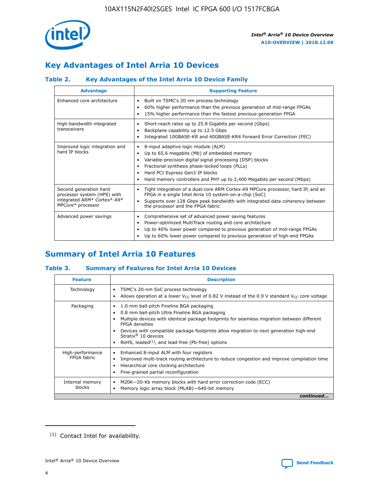

# **Key Advantages of Intel Arria 10 Devices**

## **Table 2. Key Advantages of the Intel Arria 10 Device Family**

| <b>Advantage</b>                                                                                          | <b>Supporting Feature</b>                                                                                                                                                                                                                                                                                                     |
|-----------------------------------------------------------------------------------------------------------|-------------------------------------------------------------------------------------------------------------------------------------------------------------------------------------------------------------------------------------------------------------------------------------------------------------------------------|
| Enhanced core architecture                                                                                | Built on TSMC's 20 nm process technology<br>٠<br>60% higher performance than the previous generation of mid-range FPGAs<br>٠<br>15% higher performance than the fastest previous-generation FPGA<br>٠                                                                                                                         |
| High-bandwidth integrated<br>transceivers                                                                 | Short-reach rates up to 25.8 Gigabits per second (Gbps)<br>٠<br>Backplane capability up to 12.5 Gbps<br>٠<br>Integrated 10GBASE-KR and 40GBASE-KR4 Forward Error Correction (FEC)<br>٠                                                                                                                                        |
| Improved logic integration and<br>hard IP blocks                                                          | 8-input adaptive logic module (ALM)<br>٠<br>Up to 65.6 megabits (Mb) of embedded memory<br>٠<br>Variable-precision digital signal processing (DSP) blocks<br>Fractional synthesis phase-locked loops (PLLs)<br>٠<br>Hard PCI Express Gen3 IP blocks<br>Hard memory controllers and PHY up to 2,400 Megabits per second (Mbps) |
| Second generation hard<br>processor system (HPS) with<br>integrated ARM* Cortex*-A9*<br>MPCore* processor | Tight integration of a dual-core ARM Cortex-A9 MPCore processor, hard IP, and an<br>٠<br>FPGA in a single Intel Arria 10 system-on-a-chip (SoC)<br>Supports over 128 Gbps peak bandwidth with integrated data coherency between<br>$\bullet$<br>the processor and the FPGA fabric                                             |
| Advanced power savings                                                                                    | Comprehensive set of advanced power saving features<br>٠<br>Power-optimized MultiTrack routing and core architecture<br>٠<br>Up to 40% lower power compared to previous generation of mid-range FPGAs<br>Up to 60% lower power compared to previous generation of high-end FPGAs<br>٠                                         |

# **Summary of Intel Arria 10 Features**

## **Table 3. Summary of Features for Intel Arria 10 Devices**

| <b>Feature</b>                  | <b>Description</b>                                                                                                                                                                                                                                                                                                                                                                                       |
|---------------------------------|----------------------------------------------------------------------------------------------------------------------------------------------------------------------------------------------------------------------------------------------------------------------------------------------------------------------------------------------------------------------------------------------------------|
| Technology                      | TSMC's 20-nm SoC process technology<br>٠<br>Allows operation at a lower $V_{\text{CC}}$ level of 0.82 V instead of the 0.9 V standard $V_{\text{CC}}$ core voltage                                                                                                                                                                                                                                       |
| Packaging                       | 1.0 mm ball-pitch Fineline BGA packaging<br>0.8 mm ball-pitch Ultra Fineline BGA packaging<br>Multiple devices with identical package footprints for seamless migration between different<br><b>FPGA</b> densities<br>Devices with compatible package footprints allow migration to next generation high-end<br>Stratix $\mathcal{R}$ 10 devices<br>RoHS, leaded $(1)$ , and lead-free (Pb-free) options |
| High-performance<br>FPGA fabric | Enhanced 8-input ALM with four registers<br>٠<br>Improved multi-track routing architecture to reduce congestion and improve compilation time<br>Hierarchical core clocking architecture<br>Fine-grained partial reconfiguration                                                                                                                                                                          |
| Internal memory<br>blocks       | M20K-20-Kb memory blocks with hard error correction code (ECC)<br>Memory logic array block (MLAB)-640-bit memory                                                                                                                                                                                                                                                                                         |
|                                 | continued                                                                                                                                                                                                                                                                                                                                                                                                |



<sup>(1)</sup> Contact Intel for availability.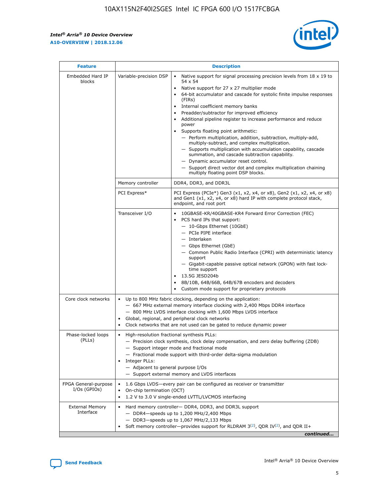$\mathsf{r}$ 



| <b>Feature</b>                         | <b>Description</b>                                                                                             |                                                                                                                                                                                                                                                                                                                                                                                                                                                                                                                                                                                                                                                                                                                                                                                                                                        |  |  |  |  |  |
|----------------------------------------|----------------------------------------------------------------------------------------------------------------|----------------------------------------------------------------------------------------------------------------------------------------------------------------------------------------------------------------------------------------------------------------------------------------------------------------------------------------------------------------------------------------------------------------------------------------------------------------------------------------------------------------------------------------------------------------------------------------------------------------------------------------------------------------------------------------------------------------------------------------------------------------------------------------------------------------------------------------|--|--|--|--|--|
| Embedded Hard IP<br>blocks             | Variable-precision DSP                                                                                         | Native support for signal processing precision levels from $18 \times 19$ to<br>54 x 54<br>Native support for 27 x 27 multiplier mode<br>64-bit accumulator and cascade for systolic finite impulse responses<br>(FIRs)<br>Internal coefficient memory banks<br>$\bullet$<br>Preadder/subtractor for improved efficiency<br>Additional pipeline register to increase performance and reduce<br>power<br>Supports floating point arithmetic:<br>- Perform multiplication, addition, subtraction, multiply-add,<br>multiply-subtract, and complex multiplication.<br>- Supports multiplication with accumulation capability, cascade<br>summation, and cascade subtraction capability.<br>- Dynamic accumulator reset control.<br>- Support direct vector dot and complex multiplication chaining<br>multiply floating point DSP blocks. |  |  |  |  |  |
|                                        | Memory controller                                                                                              | DDR4, DDR3, and DDR3L                                                                                                                                                                                                                                                                                                                                                                                                                                                                                                                                                                                                                                                                                                                                                                                                                  |  |  |  |  |  |
|                                        | PCI Express*                                                                                                   | PCI Express (PCIe*) Gen3 (x1, x2, x4, or x8), Gen2 (x1, x2, x4, or x8)<br>and Gen1 (x1, x2, x4, or x8) hard IP with complete protocol stack,<br>endpoint, and root port                                                                                                                                                                                                                                                                                                                                                                                                                                                                                                                                                                                                                                                                |  |  |  |  |  |
|                                        | Transceiver I/O                                                                                                | 10GBASE-KR/40GBASE-KR4 Forward Error Correction (FEC)<br>PCS hard IPs that support:<br>$\bullet$<br>- 10-Gbps Ethernet (10GbE)<br>- PCIe PIPE interface<br>$-$ Interlaken<br>- Gbps Ethernet (GbE)<br>- Common Public Radio Interface (CPRI) with deterministic latency<br>support<br>- Gigabit-capable passive optical network (GPON) with fast lock-<br>time support<br>13.5G JESD204b<br>$\bullet$<br>8B/10B, 64B/66B, 64B/67B encoders and decoders<br>Custom mode support for proprietary protocols                                                                                                                                                                                                                                                                                                                               |  |  |  |  |  |
| Core clock networks                    | $\bullet$<br>$\bullet$                                                                                         | Up to 800 MHz fabric clocking, depending on the application:<br>- 667 MHz external memory interface clocking with 2,400 Mbps DDR4 interface<br>- 800 MHz LVDS interface clocking with 1,600 Mbps LVDS interface<br>Global, regional, and peripheral clock networks<br>Clock networks that are not used can be gated to reduce dynamic power                                                                                                                                                                                                                                                                                                                                                                                                                                                                                            |  |  |  |  |  |
| Phase-locked loops<br>(PLLs)           | High-resolution fractional synthesis PLLs:<br>$\bullet$<br>Integer PLLs:<br>- Adjacent to general purpose I/Os | - Precision clock synthesis, clock delay compensation, and zero delay buffering (ZDB)<br>- Support integer mode and fractional mode<br>- Fractional mode support with third-order delta-sigma modulation<br>- Support external memory and LVDS interfaces                                                                                                                                                                                                                                                                                                                                                                                                                                                                                                                                                                              |  |  |  |  |  |
| FPGA General-purpose<br>$I/Os$ (GPIOs) | On-chip termination (OCT)                                                                                      | 1.6 Gbps LVDS-every pair can be configured as receiver or transmitter<br>1.2 V to 3.0 V single-ended LVTTL/LVCMOS interfacing                                                                                                                                                                                                                                                                                                                                                                                                                                                                                                                                                                                                                                                                                                          |  |  |  |  |  |
| <b>External Memory</b><br>Interface    |                                                                                                                | Hard memory controller- DDR4, DDR3, and DDR3L support<br>$-$ DDR4 $-$ speeds up to 1,200 MHz/2,400 Mbps<br>- DDR3-speeds up to 1,067 MHz/2,133 Mbps<br>Soft memory controller—provides support for RLDRAM $3^{(2)}$ , QDR IV $^{(2)}$ , and QDR II+<br>continued                                                                                                                                                                                                                                                                                                                                                                                                                                                                                                                                                                       |  |  |  |  |  |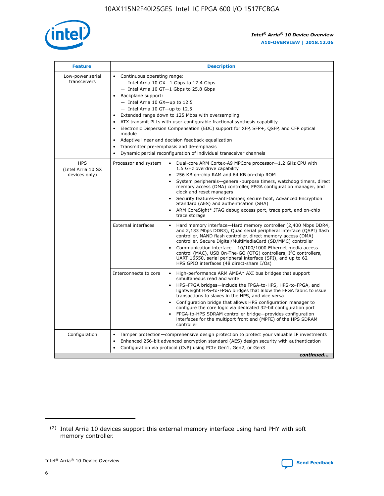

| <b>Feature</b>                                    | <b>Description</b>                                                                                                                                                                                                                                                                                                                                                                                                                                                                                                                                                                                                                                                        |
|---------------------------------------------------|---------------------------------------------------------------------------------------------------------------------------------------------------------------------------------------------------------------------------------------------------------------------------------------------------------------------------------------------------------------------------------------------------------------------------------------------------------------------------------------------------------------------------------------------------------------------------------------------------------------------------------------------------------------------------|
| Low-power serial<br>transceivers                  | • Continuous operating range:<br>- Intel Arria 10 GX-1 Gbps to 17.4 Gbps<br>$-$ Intel Arria 10 GT $-1$ Gbps to 25.8 Gbps<br>Backplane support:<br>$\bullet$<br>$-$ Intel Arria 10 GX-up to 12.5<br>$-$ Intel Arria 10 GT-up to 12.5<br>Extended range down to 125 Mbps with oversampling<br>ATX transmit PLLs with user-configurable fractional synthesis capability<br>Electronic Dispersion Compensation (EDC) support for XFP, SFP+, OSFP, and CFP optical<br>module<br>Adaptive linear and decision feedback equalization<br>$\bullet$<br>Transmitter pre-emphasis and de-emphasis<br>$\bullet$<br>Dynamic partial reconfiguration of individual transceiver channels |
| <b>HPS</b><br>(Intel Arria 10 SX<br>devices only) | Dual-core ARM Cortex-A9 MPCore processor-1.2 GHz CPU with<br>Processor and system<br>$\bullet$<br>1.5 GHz overdrive capability<br>256 KB on-chip RAM and 64 KB on-chip ROM<br>System peripherals-general-purpose timers, watchdog timers, direct<br>memory access (DMA) controller, FPGA configuration manager, and<br>clock and reset managers<br>• Security features—anti-tamper, secure boot, Advanced Encryption<br>Standard (AES) and authentication (SHA)<br>ARM CoreSight* JTAG debug access port, trace port, and on-chip<br>$\bullet$<br>trace storage                                                                                                           |
|                                                   | <b>External interfaces</b><br>Hard memory interface—Hard memory controller (2,400 Mbps DDR4,<br>and 2,133 Mbps DDR3), Quad serial peripheral interface (QSPI) flash<br>controller, NAND flash controller, direct memory access (DMA)<br>controller, Secure Digital/MultiMediaCard (SD/MMC) controller<br>Communication interface-10/100/1000 Ethernet media access<br>$\bullet$<br>control (MAC), USB On-The-GO (OTG) controllers, I <sup>2</sup> C controllers,<br>UART 16550, serial peripheral interface (SPI), and up to 62<br>HPS GPIO interfaces (48 direct-share I/Os)                                                                                             |
|                                                   | Interconnects to core<br>• High-performance ARM AMBA* AXI bus bridges that support<br>simultaneous read and write<br>HPS-FPGA bridges-include the FPGA-to-HPS, HPS-to-FPGA, and<br>$\bullet$<br>lightweight HPS-to-FPGA bridges that allow the FPGA fabric to issue<br>transactions to slaves in the HPS, and vice versa<br>Configuration bridge that allows HPS configuration manager to<br>configure the core logic via dedicated 32-bit configuration port<br>FPGA-to-HPS SDRAM controller bridge-provides configuration<br>interfaces for the multiport front end (MPFE) of the HPS SDRAM<br>controller                                                               |
| Configuration                                     | Tamper protection—comprehensive design protection to protect your valuable IP investments<br>Enhanced 256-bit advanced encryption standard (AES) design security with authentication<br>$\bullet$<br>Configuration via protocol (CvP) using PCIe Gen1, Gen2, or Gen3<br>continued                                                                                                                                                                                                                                                                                                                                                                                         |

<sup>(2)</sup> Intel Arria 10 devices support this external memory interface using hard PHY with soft memory controller.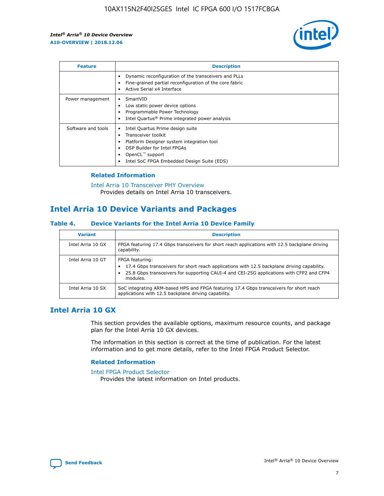

| <b>Feature</b>     | <b>Description</b>                                                                                                                                                                                               |
|--------------------|------------------------------------------------------------------------------------------------------------------------------------------------------------------------------------------------------------------|
|                    | Dynamic reconfiguration of the transceivers and PLLs<br>Fine-grained partial reconfiguration of the core fabric<br>Active Serial x4 Interface<br>$\bullet$                                                       |
| Power management   | SmartVID<br>Low static power device options<br>Programmable Power Technology<br>Intel Quartus <sup>®</sup> Prime integrated power analysis                                                                       |
| Software and tools | Intel Quartus Prime design suite<br>Transceiver toolkit<br>Platform Designer system integration tool<br>DSP Builder for Intel FPGAs<br>OpenCL <sup>™</sup> support<br>Intel SoC FPGA Embedded Design Suite (EDS) |

## **Related Information**

[Intel Arria 10 Transceiver PHY Overview](https://www.intel.com/content/www/us/en/programmable/documentation/nik1398707230472.html#nik1398706768037) Provides details on Intel Arria 10 transceivers.

## **Intel Arria 10 Device Variants and Packages**

#### **Table 4. Device Variants for the Intel Arria 10 Device Family**

| <b>Variant</b>    | <b>Description</b>                                                                                                                                                                                                     |
|-------------------|------------------------------------------------------------------------------------------------------------------------------------------------------------------------------------------------------------------------|
| Intel Arria 10 GX | FPGA featuring 17.4 Gbps transceivers for short reach applications with 12.5 backplane driving<br>capability.                                                                                                          |
| Intel Arria 10 GT | FPGA featuring:<br>17.4 Gbps transceivers for short reach applications with 12.5 backplane driving capability.<br>25.8 Gbps transceivers for supporting CAUI-4 and CEI-25G applications with CFP2 and CFP4<br>modules. |
| Intel Arria 10 SX | SoC integrating ARM-based HPS and FPGA featuring 17.4 Gbps transceivers for short reach<br>applications with 12.5 backplane driving capability.                                                                        |

## **Intel Arria 10 GX**

This section provides the available options, maximum resource counts, and package plan for the Intel Arria 10 GX devices.

The information in this section is correct at the time of publication. For the latest information and to get more details, refer to the Intel FPGA Product Selector.

#### **Related Information**

#### [Intel FPGA Product Selector](http://www.altera.com/products/selector/psg-selector.html) Provides the latest information on Intel products.

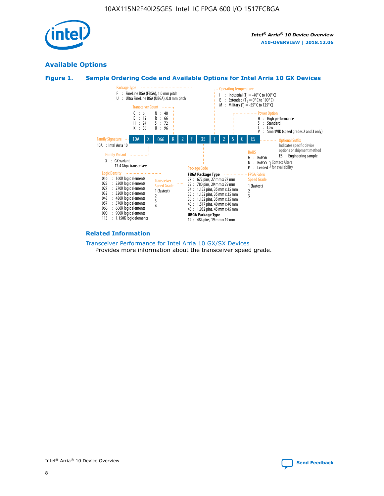

## **Available Options**





#### **Related Information**

[Transceiver Performance for Intel Arria 10 GX/SX Devices](https://www.intel.com/content/www/us/en/programmable/documentation/mcn1413182292568.html#mcn1413213965502) Provides more information about the transceiver speed grade.

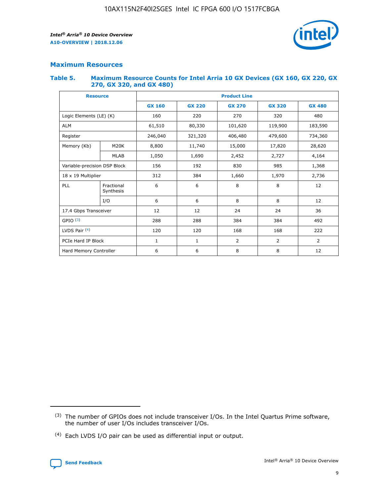

## **Maximum Resources**

#### **Table 5. Maximum Resource Counts for Intel Arria 10 GX Devices (GX 160, GX 220, GX 270, GX 320, and GX 480)**

| <b>Resource</b>         |                                                          | <b>Product Line</b> |                                                 |            |                |                |  |  |  |
|-------------------------|----------------------------------------------------------|---------------------|-------------------------------------------------|------------|----------------|----------------|--|--|--|
|                         |                                                          | <b>GX 160</b>       | <b>GX 220</b><br><b>GX 270</b><br><b>GX 320</b> |            |                | <b>GX 480</b>  |  |  |  |
| Logic Elements (LE) (K) |                                                          | 160                 | 220                                             | 270        | 320            | 480            |  |  |  |
| <b>ALM</b>              |                                                          | 61,510              | 80,330                                          | 101,620    | 119,900        | 183,590        |  |  |  |
| Register                |                                                          | 246,040             | 321,320                                         | 406,480    | 479,600        | 734,360        |  |  |  |
| Memory (Kb)             | M <sub>20</sub> K                                        | 8,800               | 11,740                                          | 15,000     | 17,820         | 28,620         |  |  |  |
| <b>MLAB</b>             |                                                          | 1,050               | 1,690                                           | 2,452      | 2,727          | 4,164          |  |  |  |
|                         | Variable-precision DSP Block<br>156<br>192<br>830<br>985 |                     |                                                 |            | 1,368          |                |  |  |  |
| 18 x 19 Multiplier      |                                                          | 312                 | 384                                             | 1,660      | 1,970          | 2,736          |  |  |  |
| PLL                     | Fractional<br>Synthesis                                  | 6                   | 6                                               | 8          | 8              | 12             |  |  |  |
|                         | I/O                                                      | 6                   | 6                                               | 8          | 8              | 12             |  |  |  |
| 17.4 Gbps Transceiver   |                                                          | 12                  | 12                                              | 24         | 24             |                |  |  |  |
| GPIO <sup>(3)</sup>     |                                                          | 288                 | 288                                             | 384<br>384 |                | 492            |  |  |  |
| LVDS Pair $(4)$         |                                                          | 120                 | 120                                             | 168        | 168            | 222            |  |  |  |
| PCIe Hard IP Block      |                                                          | 1                   | 1                                               | 2          | $\overline{2}$ | $\overline{2}$ |  |  |  |
| Hard Memory Controller  |                                                          | 6                   | 6                                               | 8          | 8              | 12             |  |  |  |

<sup>(4)</sup> Each LVDS I/O pair can be used as differential input or output.



<sup>(3)</sup> The number of GPIOs does not include transceiver I/Os. In the Intel Quartus Prime software, the number of user I/Os includes transceiver I/Os.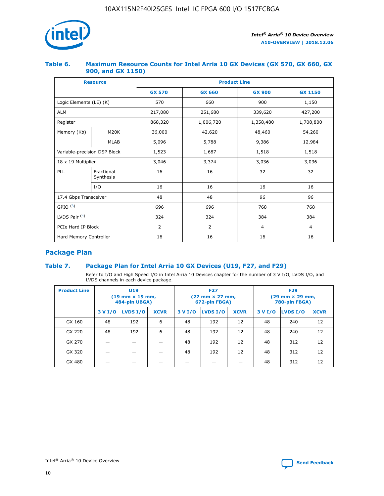

## **Table 6. Maximum Resource Counts for Intel Arria 10 GX Devices (GX 570, GX 660, GX 900, and GX 1150)**

|                              | <b>Resource</b>         | <b>Product Line</b> |                |                |                |  |  |  |
|------------------------------|-------------------------|---------------------|----------------|----------------|----------------|--|--|--|
|                              |                         | <b>GX 570</b>       | <b>GX 660</b>  |                | <b>GX 1150</b> |  |  |  |
| Logic Elements (LE) (K)      |                         | 570                 | 660            | 900            | 1,150          |  |  |  |
| <b>ALM</b>                   |                         | 217,080             | 251,680        | 339,620        | 427,200        |  |  |  |
| Register                     |                         | 868,320             | 1,006,720      | 1,358,480      | 1,708,800      |  |  |  |
| Memory (Kb)                  | <b>M20K</b>             | 36,000              | 42,620         | 48,460         | 54,260         |  |  |  |
|                              | <b>MLAB</b>             | 5,096               | 5,788          |                | 12,984         |  |  |  |
| Variable-precision DSP Block |                         | 1,523               | 1,687          | 1,518          | 1,518          |  |  |  |
| $18 \times 19$ Multiplier    |                         | 3,046               | 3,374          | 3,036          | 3,036          |  |  |  |
| PLL                          | Fractional<br>Synthesis | 16                  | 16             | 32             | 32             |  |  |  |
|                              | I/O                     | 16                  | 16             | 16             | 16             |  |  |  |
| 17.4 Gbps Transceiver        |                         | 48                  | 48             |                | 96             |  |  |  |
| GPIO <sup>(3)</sup>          |                         | 696                 | 696            | 768            | 768            |  |  |  |
| LVDS Pair $(4)$              |                         | 324                 | 324            |                | 384            |  |  |  |
| PCIe Hard IP Block           |                         | 2                   | $\overline{2}$ | $\overline{4}$ | 4              |  |  |  |
| Hard Memory Controller       |                         | 16                  | 16             | 16             | 16             |  |  |  |

## **Package Plan**

## **Table 7. Package Plan for Intel Arria 10 GX Devices (U19, F27, and F29)**

Refer to I/O and High Speed I/O in Intel Arria 10 Devices chapter for the number of 3 V I/O, LVDS I/O, and LVDS channels in each device package.

| <b>Product Line</b> | U <sub>19</sub><br>$(19 \text{ mm} \times 19 \text{ mm})$<br>484-pin UBGA) |          |             |         | <b>F27</b><br>(27 mm × 27 mm,<br>672-pin FBGA) |             | <b>F29</b><br>(29 mm × 29 mm,<br>780-pin FBGA) |          |             |  |
|---------------------|----------------------------------------------------------------------------|----------|-------------|---------|------------------------------------------------|-------------|------------------------------------------------|----------|-------------|--|
|                     | 3 V I/O                                                                    | LVDS I/O | <b>XCVR</b> | 3 V I/O | LVDS I/O                                       | <b>XCVR</b> | 3 V I/O                                        | LVDS I/O | <b>XCVR</b> |  |
| GX 160              | 48                                                                         | 192      | 6           | 48      | 192                                            | 12          | 48                                             | 240      | 12          |  |
| GX 220              | 48                                                                         | 192      | 6           | 48      | 192                                            | 12          | 48                                             | 240      | 12          |  |
| GX 270              |                                                                            |          |             | 48      | 192                                            | 12          | 48                                             | 312      | 12          |  |
| GX 320              |                                                                            |          |             | 48      | 192                                            | 12          | 48                                             | 312      | 12          |  |
| GX 480              |                                                                            |          |             |         |                                                |             | 48                                             | 312      | 12          |  |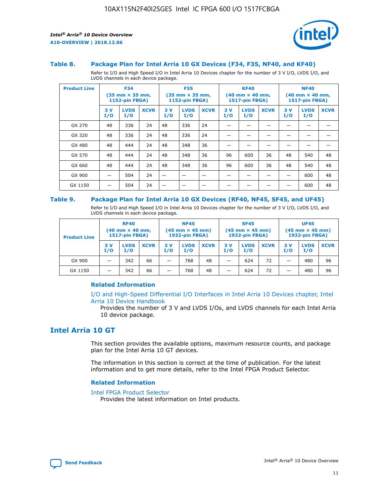

#### **Table 8. Package Plan for Intel Arria 10 GX Devices (F34, F35, NF40, and KF40)**

Refer to I/O and High Speed I/O in Intel Arria 10 Devices chapter for the number of 3 V I/O, LVDS I/O, and LVDS channels in each device package.

| <b>Product Line</b> | <b>F34</b><br>$(35 \text{ mm} \times 35 \text{ mm})$<br>1152-pin FBGA) |                    | <b>F35</b><br>$(35 \text{ mm} \times 35 \text{ mm})$<br><b>1152-pin FBGA)</b> |           | <b>KF40</b><br>$(40$ mm $\times$ 40 mm,<br>1517-pin FBGA) |             |           | <b>NF40</b><br>$(40$ mm $\times$ 40 mm,<br><b>1517-pin FBGA)</b> |             |            |                    |             |
|---------------------|------------------------------------------------------------------------|--------------------|-------------------------------------------------------------------------------|-----------|-----------------------------------------------------------|-------------|-----------|------------------------------------------------------------------|-------------|------------|--------------------|-------------|
|                     | 3V<br>I/O                                                              | <b>LVDS</b><br>I/O | <b>XCVR</b>                                                                   | 3V<br>I/O | <b>LVDS</b><br>I/O                                        | <b>XCVR</b> | 3V<br>I/O | <b>LVDS</b><br>I/O                                               | <b>XCVR</b> | 3 V<br>I/O | <b>LVDS</b><br>I/O | <b>XCVR</b> |
| GX 270              | 48                                                                     | 336                | 24                                                                            | 48        | 336                                                       | 24          |           |                                                                  |             |            |                    |             |
| GX 320              | 48                                                                     | 336                | 24                                                                            | 48        | 336                                                       | 24          |           |                                                                  |             |            |                    |             |
| GX 480              | 48                                                                     | 444                | 24                                                                            | 48        | 348                                                       | 36          |           |                                                                  |             |            |                    |             |
| GX 570              | 48                                                                     | 444                | 24                                                                            | 48        | 348                                                       | 36          | 96        | 600                                                              | 36          | 48         | 540                | 48          |
| GX 660              | 48                                                                     | 444                | 24                                                                            | 48        | 348                                                       | 36          | 96        | 600                                                              | 36          | 48         | 540                | 48          |
| GX 900              |                                                                        | 504                | 24                                                                            | -         |                                                           |             |           |                                                                  |             |            | 600                | 48          |
| GX 1150             |                                                                        | 504                | 24                                                                            |           |                                                           |             |           |                                                                  |             |            | 600                | 48          |

#### **Table 9. Package Plan for Intel Arria 10 GX Devices (RF40, NF45, SF45, and UF45)**

Refer to I/O and High Speed I/O in Intel Arria 10 Devices chapter for the number of 3 V I/O, LVDS I/O, and LVDS channels in each device package.

| <b>Product Line</b> | <b>RF40</b><br>$(40$ mm $\times$ 40 mm,<br>1517-pin FBGA) |                    |             | <b>NF45</b><br>$(45 \text{ mm} \times 45 \text{ mm})$<br><b>1932-pin FBGA)</b> |                    |             | <b>SF45</b><br>$(45 \text{ mm} \times 45 \text{ mm})$<br><b>1932-pin FBGA)</b> |                    |             | <b>UF45</b><br>$(45 \text{ mm} \times 45 \text{ mm})$<br><b>1932-pin FBGA)</b> |                    |             |
|---------------------|-----------------------------------------------------------|--------------------|-------------|--------------------------------------------------------------------------------|--------------------|-------------|--------------------------------------------------------------------------------|--------------------|-------------|--------------------------------------------------------------------------------|--------------------|-------------|
|                     | 3V<br>I/O                                                 | <b>LVDS</b><br>I/O | <b>XCVR</b> | 3 V<br>I/O                                                                     | <b>LVDS</b><br>I/O | <b>XCVR</b> | 3 V<br>I/O                                                                     | <b>LVDS</b><br>I/O | <b>XCVR</b> | 3V<br>I/O                                                                      | <b>LVDS</b><br>I/O | <b>XCVR</b> |
| GX 900              |                                                           | 342                | 66          | _                                                                              | 768                | 48          |                                                                                | 624                | 72          |                                                                                | 480                | 96          |
| GX 1150             |                                                           | 342                | 66          | _                                                                              | 768                | 48          |                                                                                | 624                | 72          |                                                                                | 480                | 96          |

### **Related Information**

[I/O and High-Speed Differential I/O Interfaces in Intel Arria 10 Devices chapter, Intel](https://www.intel.com/content/www/us/en/programmable/documentation/sam1403482614086.html#sam1403482030321) [Arria 10 Device Handbook](https://www.intel.com/content/www/us/en/programmable/documentation/sam1403482614086.html#sam1403482030321)

Provides the number of 3 V and LVDS I/Os, and LVDS channels for each Intel Arria 10 device package.

## **Intel Arria 10 GT**

This section provides the available options, maximum resource counts, and package plan for the Intel Arria 10 GT devices.

The information in this section is correct at the time of publication. For the latest information and to get more details, refer to the Intel FPGA Product Selector.

#### **Related Information**

#### [Intel FPGA Product Selector](http://www.altera.com/products/selector/psg-selector.html)

Provides the latest information on Intel products.

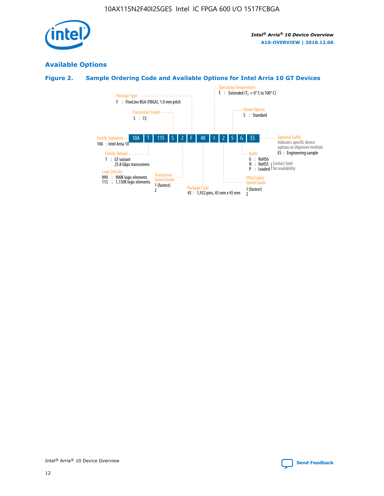

## **Available Options**

## **Figure 2. Sample Ordering Code and Available Options for Intel Arria 10 GT Devices**

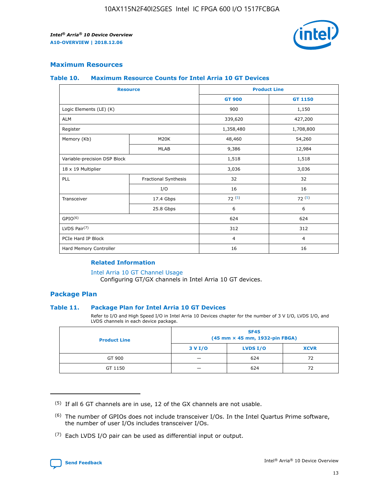

## **Maximum Resources**

#### **Table 10. Maximum Resource Counts for Intel Arria 10 GT Devices**

| <b>Resource</b>              |                      |                | <b>Product Line</b> |  |
|------------------------------|----------------------|----------------|---------------------|--|
|                              |                      | <b>GT 900</b>  | <b>GT 1150</b>      |  |
| Logic Elements (LE) (K)      |                      | 900            | 1,150               |  |
| <b>ALM</b>                   |                      | 339,620        | 427,200             |  |
| Register                     |                      | 1,358,480      | 1,708,800           |  |
| Memory (Kb)                  | M20K                 | 48,460         | 54,260              |  |
|                              | <b>MLAB</b>          | 9,386          | 12,984              |  |
| Variable-precision DSP Block |                      | 1,518          | 1,518               |  |
| 18 x 19 Multiplier           |                      | 3,036          | 3,036               |  |
| <b>PLL</b>                   | Fractional Synthesis | 32             | 32                  |  |
|                              | I/O                  | 16             | 16                  |  |
| Transceiver                  | 17.4 Gbps            | 72(5)          | 72(5)               |  |
|                              | 25.8 Gbps            | 6              | 6                   |  |
| GPIO <sup>(6)</sup>          |                      | 624            | 624                 |  |
| LVDS Pair $(7)$              |                      | 312            | 312                 |  |
| PCIe Hard IP Block           |                      | $\overline{4}$ | $\overline{4}$      |  |
| Hard Memory Controller       |                      | 16             | 16                  |  |

### **Related Information**

#### [Intel Arria 10 GT Channel Usage](https://www.intel.com/content/www/us/en/programmable/documentation/nik1398707230472.html#nik1398707008178)

Configuring GT/GX channels in Intel Arria 10 GT devices.

## **Package Plan**

#### **Table 11. Package Plan for Intel Arria 10 GT Devices**

Refer to I/O and High Speed I/O in Intel Arria 10 Devices chapter for the number of 3 V I/O, LVDS I/O, and LVDS channels in each device package.

| <b>Product Line</b> | <b>SF45</b><br>(45 mm × 45 mm, 1932-pin FBGA) |                 |             |  |  |  |
|---------------------|-----------------------------------------------|-----------------|-------------|--|--|--|
|                     | 3 V I/O                                       | <b>LVDS I/O</b> | <b>XCVR</b> |  |  |  |
| GT 900              |                                               | 624             | 72          |  |  |  |
| GT 1150             |                                               | 624             | 72          |  |  |  |

<sup>(7)</sup> Each LVDS I/O pair can be used as differential input or output.



 $(5)$  If all 6 GT channels are in use, 12 of the GX channels are not usable.

<sup>(6)</sup> The number of GPIOs does not include transceiver I/Os. In the Intel Quartus Prime software, the number of user I/Os includes transceiver I/Os.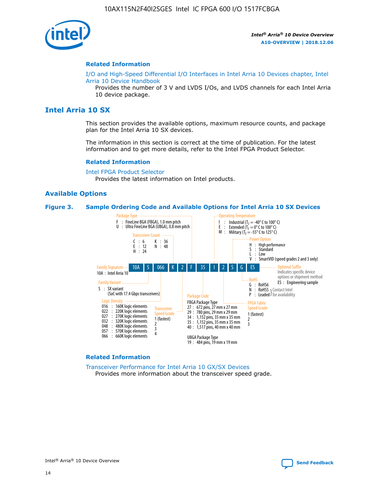

#### **Related Information**

[I/O and High-Speed Differential I/O Interfaces in Intel Arria 10 Devices chapter, Intel](https://www.intel.com/content/www/us/en/programmable/documentation/sam1403482614086.html#sam1403482030321) [Arria 10 Device Handbook](https://www.intel.com/content/www/us/en/programmable/documentation/sam1403482614086.html#sam1403482030321)

Provides the number of 3 V and LVDS I/Os, and LVDS channels for each Intel Arria 10 device package.

## **Intel Arria 10 SX**

This section provides the available options, maximum resource counts, and package plan for the Intel Arria 10 SX devices.

The information in this section is correct at the time of publication. For the latest information and to get more details, refer to the Intel FPGA Product Selector.

#### **Related Information**

[Intel FPGA Product Selector](http://www.altera.com/products/selector/psg-selector.html) Provides the latest information on Intel products.

#### **Available Options**

#### **Figure 3. Sample Ordering Code and Available Options for Intel Arria 10 SX Devices**



#### **Related Information**

[Transceiver Performance for Intel Arria 10 GX/SX Devices](https://www.intel.com/content/www/us/en/programmable/documentation/mcn1413182292568.html#mcn1413213965502) Provides more information about the transceiver speed grade.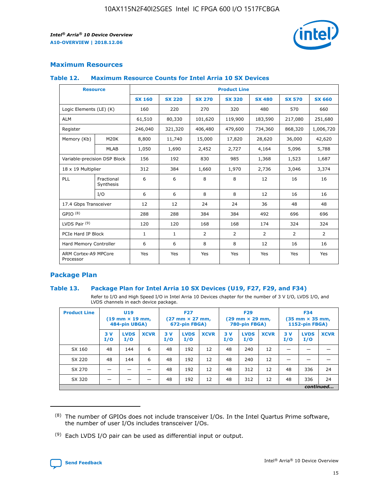

## **Maximum Resources**

#### **Table 12. Maximum Resource Counts for Intel Arria 10 SX Devices**

|                                   | <b>Resource</b>         | <b>Product Line</b> |               |                |                |                |                |                |  |  |  |
|-----------------------------------|-------------------------|---------------------|---------------|----------------|----------------|----------------|----------------|----------------|--|--|--|
|                                   |                         | <b>SX 160</b>       | <b>SX 220</b> | <b>SX 270</b>  | <b>SX 320</b>  | <b>SX 480</b>  | <b>SX 570</b>  | <b>SX 660</b>  |  |  |  |
| Logic Elements (LE) (K)           |                         | 160                 | 220           | 270            | 320            | 480            | 570            | 660            |  |  |  |
| <b>ALM</b>                        |                         | 61,510              | 80,330        | 101,620        | 119,900        | 183,590        | 217,080        | 251,680        |  |  |  |
| Register                          |                         | 246,040             | 321,320       | 406,480        | 479,600        | 734,360        | 868,320        | 1,006,720      |  |  |  |
| Memory (Kb)                       | <b>M20K</b>             | 8,800               | 11,740        | 15,000         | 17,820         | 28,620         | 36,000         | 42,620         |  |  |  |
|                                   | <b>MLAB</b>             | 1,050               | 1,690         | 2,452          | 2,727          | 4,164          | 5,096          | 5,788          |  |  |  |
| Variable-precision DSP Block      |                         | 156                 | 192           | 830            | 985            | 1,368          | 1,523          | 1,687          |  |  |  |
| 18 x 19 Multiplier                |                         | 312                 | 384           | 1,660          | 1,970          | 2,736          | 3,046          | 3,374          |  |  |  |
| <b>PLL</b>                        | Fractional<br>Synthesis | 6                   | 6             | 8              | 8              | 12             | 16             | 16             |  |  |  |
|                                   | I/O                     | 6                   | 6             | 8              | 8              | 12             | 16             | 16             |  |  |  |
| 17.4 Gbps Transceiver             |                         | 12                  | 12            | 24             | 24             | 36             | 48             | 48             |  |  |  |
| GPIO <sup>(8)</sup>               |                         | 288                 | 288           | 384            | 384            | 492            | 696            | 696            |  |  |  |
| LVDS Pair $(9)$                   |                         | 120                 | 120           | 168            | 168            | 174            | 324            | 324            |  |  |  |
| PCIe Hard IP Block                |                         | $\mathbf{1}$        | $\mathbf{1}$  | $\overline{2}$ | $\overline{2}$ | $\overline{2}$ | $\overline{2}$ | $\overline{2}$ |  |  |  |
| Hard Memory Controller            |                         | 6                   | 6             | 8              | 8              | 12             | 16             | 16             |  |  |  |
| ARM Cortex-A9 MPCore<br>Processor |                         | Yes                 | Yes           | Yes            | Yes            | Yes            | Yes            | Yes            |  |  |  |

## **Package Plan**

#### **Table 13. Package Plan for Intel Arria 10 SX Devices (U19, F27, F29, and F34)**

Refer to I/O and High Speed I/O in Intel Arria 10 Devices chapter for the number of 3 V I/O, LVDS I/O, and LVDS channels in each device package.

| <b>Product Line</b> | <b>U19</b><br>$(19 \text{ mm} \times 19 \text{ mm})$<br>484-pin UBGA) |                    |             | <b>F27</b><br>$(27 \text{ mm} \times 27 \text{ mm})$<br>672-pin FBGA) |                    | <b>F29</b><br>$(29 \text{ mm} \times 29 \text{ mm})$<br>780-pin FBGA) |           |                    | <b>F34</b><br>$(35 \text{ mm} \times 35 \text{ mm})$<br><b>1152-pin FBGA)</b> |           |                    |             |
|---------------------|-----------------------------------------------------------------------|--------------------|-------------|-----------------------------------------------------------------------|--------------------|-----------------------------------------------------------------------|-----------|--------------------|-------------------------------------------------------------------------------|-----------|--------------------|-------------|
|                     | 3V<br>I/O                                                             | <b>LVDS</b><br>I/O | <b>XCVR</b> | 3V<br>I/O                                                             | <b>LVDS</b><br>I/O | <b>XCVR</b>                                                           | 3V<br>I/O | <b>LVDS</b><br>I/O | <b>XCVR</b>                                                                   | 3V<br>I/O | <b>LVDS</b><br>I/O | <b>XCVR</b> |
| SX 160              | 48                                                                    | 144                | 6           | 48                                                                    | 192                | 12                                                                    | 48        | 240                | 12                                                                            | -         |                    |             |
| SX 220              | 48                                                                    | 144                | 6           | 48                                                                    | 192                | 12                                                                    | 48        | 240                | 12                                                                            |           |                    |             |
| SX 270              |                                                                       |                    |             | 48                                                                    | 192                | 12                                                                    | 48        | 312                | 12                                                                            | 48        | 336                | 24          |
| SX 320              |                                                                       |                    |             | 48                                                                    | 192                | 12                                                                    | 48        | 312                | 12                                                                            | 48        | 336                | 24          |
|                     | continued                                                             |                    |             |                                                                       |                    |                                                                       |           |                    |                                                                               |           |                    |             |

 $(8)$  The number of GPIOs does not include transceiver I/Os. In the Intel Quartus Prime software, the number of user I/Os includes transceiver I/Os.

 $(9)$  Each LVDS I/O pair can be used as differential input or output.

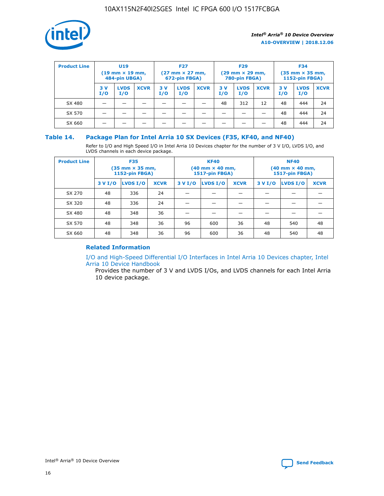

| <b>Product Line</b> | U <sub>19</sub><br>$(19 \text{ mm} \times 19 \text{ mm})$<br>484-pin UBGA) |                    | <b>F27</b><br>$(27 \text{ mm} \times 27 \text{ mm})$<br>672-pin FBGA) |           | <b>F29</b><br>$(29$ mm $\times$ 29 mm,<br>780-pin FBGA) |             |           | <b>F34</b><br>$(35$ mm $\times$ 35 mm,<br><b>1152-pin FBGA)</b> |             |            |                    |             |
|---------------------|----------------------------------------------------------------------------|--------------------|-----------------------------------------------------------------------|-----------|---------------------------------------------------------|-------------|-----------|-----------------------------------------------------------------|-------------|------------|--------------------|-------------|
|                     | 3 V<br>I/O                                                                 | <b>LVDS</b><br>I/O | <b>XCVR</b>                                                           | 3V<br>I/O | <b>LVDS</b><br>I/O                                      | <b>XCVR</b> | 3V<br>I/O | <b>LVDS</b><br>I/O                                              | <b>XCVR</b> | 3 V<br>I/O | <b>LVDS</b><br>I/O | <b>XCVR</b> |
| SX 480              |                                                                            |                    |                                                                       |           |                                                         |             | 48        | 312                                                             | 12          | 48         | 444                | 24          |
| SX 570              |                                                                            |                    |                                                                       |           |                                                         |             |           |                                                                 |             | 48         | 444                | 24          |
| SX 660              |                                                                            |                    |                                                                       |           |                                                         |             |           |                                                                 |             | 48         | 444                | 24          |

## **Table 14. Package Plan for Intel Arria 10 SX Devices (F35, KF40, and NF40)**

Refer to I/O and High Speed I/O in Intel Arria 10 Devices chapter for the number of 3 V I/O, LVDS I/O, and LVDS channels in each device package.

| <b>Product Line</b> | <b>F35</b><br>$(35 \text{ mm} \times 35 \text{ mm})$<br><b>1152-pin FBGA)</b> |          |             |                                           | <b>KF40</b><br>(40 mm × 40 mm,<br>1517-pin FBGA) |    | <b>NF40</b><br>$(40 \text{ mm} \times 40 \text{ mm})$<br>1517-pin FBGA) |          |             |  |
|---------------------|-------------------------------------------------------------------------------|----------|-------------|-------------------------------------------|--------------------------------------------------|----|-------------------------------------------------------------------------|----------|-------------|--|
|                     | 3 V I/O                                                                       | LVDS I/O | <b>XCVR</b> | <b>LVDS I/O</b><br><b>XCVR</b><br>3 V I/O |                                                  |    | 3 V I/O                                                                 | LVDS I/O | <b>XCVR</b> |  |
| SX 270              | 48                                                                            | 336      | 24          |                                           |                                                  |    |                                                                         |          |             |  |
| SX 320              | 48                                                                            | 336      | 24          |                                           |                                                  |    |                                                                         |          |             |  |
| SX 480              | 48                                                                            | 348      | 36          |                                           |                                                  |    |                                                                         |          |             |  |
| SX 570              | 48                                                                            | 348      | 36          | 96                                        | 600                                              | 36 | 48                                                                      | 540      | 48          |  |
| SX 660              | 48                                                                            | 348      | 36          | 96                                        | 600                                              | 36 | 48                                                                      | 540      | 48          |  |

## **Related Information**

[I/O and High-Speed Differential I/O Interfaces in Intel Arria 10 Devices chapter, Intel](https://www.intel.com/content/www/us/en/programmable/documentation/sam1403482614086.html#sam1403482030321) [Arria 10 Device Handbook](https://www.intel.com/content/www/us/en/programmable/documentation/sam1403482614086.html#sam1403482030321)

Provides the number of 3 V and LVDS I/Os, and LVDS channels for each Intel Arria 10 device package.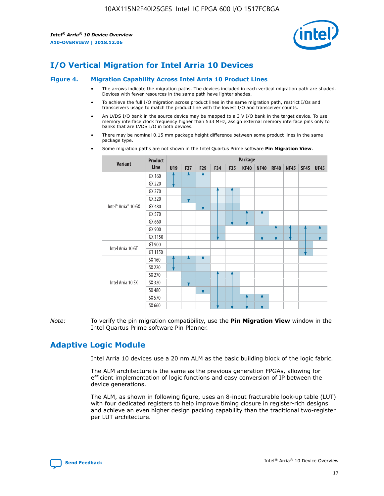

# **I/O Vertical Migration for Intel Arria 10 Devices**

#### **Figure 4. Migration Capability Across Intel Arria 10 Product Lines**

- The arrows indicate the migration paths. The devices included in each vertical migration path are shaded. Devices with fewer resources in the same path have lighter shades.
- To achieve the full I/O migration across product lines in the same migration path, restrict I/Os and transceivers usage to match the product line with the lowest I/O and transceiver counts.
- An LVDS I/O bank in the source device may be mapped to a 3 V I/O bank in the target device. To use memory interface clock frequency higher than 533 MHz, assign external memory interface pins only to banks that are LVDS I/O in both devices.
- There may be nominal 0.15 mm package height difference between some product lines in the same package type.
	- **Variant Product Line Package U19 F27 F29 F34 F35 KF40 NF40 RF40 NF45 SF45 UF45** Intel® Arria® 10 GX GX 160 GX 220 GX 270 GX 320 GX 480 GX 570 GX 660 GX 900 GX 1150 Intel Arria 10 GT GT 900 GT 1150 Intel Arria 10 SX SX 160 SX 220 SX 270 SX 320 SX 480 SX 570 SX 660
- Some migration paths are not shown in the Intel Quartus Prime software **Pin Migration View**.

*Note:* To verify the pin migration compatibility, use the **Pin Migration View** window in the Intel Quartus Prime software Pin Planner.

# **Adaptive Logic Module**

Intel Arria 10 devices use a 20 nm ALM as the basic building block of the logic fabric.

The ALM architecture is the same as the previous generation FPGAs, allowing for efficient implementation of logic functions and easy conversion of IP between the device generations.

The ALM, as shown in following figure, uses an 8-input fracturable look-up table (LUT) with four dedicated registers to help improve timing closure in register-rich designs and achieve an even higher design packing capability than the traditional two-register per LUT architecture.

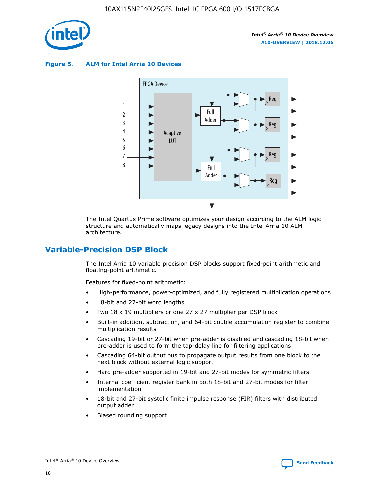

**Figure 5. ALM for Intel Arria 10 Devices**



The Intel Quartus Prime software optimizes your design according to the ALM logic structure and automatically maps legacy designs into the Intel Arria 10 ALM architecture.

## **Variable-Precision DSP Block**

The Intel Arria 10 variable precision DSP blocks support fixed-point arithmetic and floating-point arithmetic.

Features for fixed-point arithmetic:

- High-performance, power-optimized, and fully registered multiplication operations
- 18-bit and 27-bit word lengths
- Two 18 x 19 multipliers or one 27 x 27 multiplier per DSP block
- Built-in addition, subtraction, and 64-bit double accumulation register to combine multiplication results
- Cascading 19-bit or 27-bit when pre-adder is disabled and cascading 18-bit when pre-adder is used to form the tap-delay line for filtering applications
- Cascading 64-bit output bus to propagate output results from one block to the next block without external logic support
- Hard pre-adder supported in 19-bit and 27-bit modes for symmetric filters
- Internal coefficient register bank in both 18-bit and 27-bit modes for filter implementation
- 18-bit and 27-bit systolic finite impulse response (FIR) filters with distributed output adder
- Biased rounding support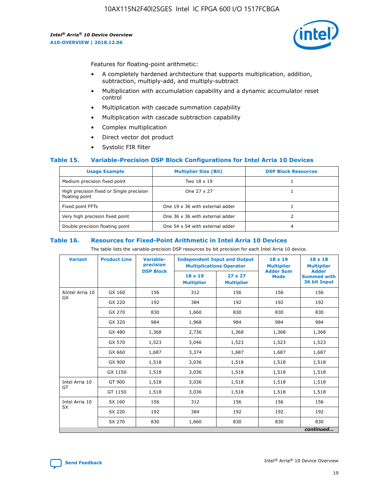

Features for floating-point arithmetic:

- A completely hardened architecture that supports multiplication, addition, subtraction, multiply-add, and multiply-subtract
- Multiplication with accumulation capability and a dynamic accumulator reset control
- Multiplication with cascade summation capability
- Multiplication with cascade subtraction capability
- Complex multiplication
- Direct vector dot product
- Systolic FIR filter

#### **Table 15. Variable-Precision DSP Block Configurations for Intel Arria 10 Devices**

| <b>Usage Example</b>                                       | <b>Multiplier Size (Bit)</b>    | <b>DSP Block Resources</b> |
|------------------------------------------------------------|---------------------------------|----------------------------|
| Medium precision fixed point                               | Two 18 x 19                     |                            |
| High precision fixed or Single precision<br>floating point | One 27 x 27                     |                            |
| Fixed point FFTs                                           | One 19 x 36 with external adder |                            |
| Very high precision fixed point                            | One 36 x 36 with external adder |                            |
| Double precision floating point                            | One 54 x 54 with external adder | 4                          |

#### **Table 16. Resources for Fixed-Point Arithmetic in Intel Arria 10 Devices**

The table lists the variable-precision DSP resources by bit precision for each Intel Arria 10 device.

| <b>Variant</b>  | <b>Product Line</b> | Variable-<br>precision<br><b>DSP Block</b> | <b>Independent Input and Output</b><br><b>Multiplications Operator</b> |                                     | 18 x 19<br><b>Multiplier</b><br><b>Adder Sum</b> | $18 \times 18$<br><b>Multiplier</b><br><b>Adder</b> |
|-----------------|---------------------|--------------------------------------------|------------------------------------------------------------------------|-------------------------------------|--------------------------------------------------|-----------------------------------------------------|
|                 |                     |                                            | 18 x 19<br><b>Multiplier</b>                                           | $27 \times 27$<br><b>Multiplier</b> | <b>Mode</b>                                      | <b>Summed with</b><br>36 bit Input                  |
| AIntel Arria 10 | GX 160              | 156                                        | 312                                                                    | 156                                 | 156                                              | 156                                                 |
| GX              | GX 220              | 192                                        | 384                                                                    | 192                                 | 192                                              | 192                                                 |
|                 | GX 270              | 830                                        | 1,660                                                                  | 830                                 | 830                                              | 830                                                 |
|                 | GX 320              | 984                                        | 1,968                                                                  | 984                                 | 984                                              | 984                                                 |
|                 | GX 480              | 1,368                                      | 2,736                                                                  | 1,368                               | 1,368                                            | 1,368                                               |
|                 | GX 570              | 1,523                                      | 3,046                                                                  | 1,523                               | 1,523                                            | 1,523                                               |
|                 | GX 660              | 1,687                                      | 3,374                                                                  | 1,687                               | 1,687                                            | 1,687                                               |
|                 | GX 900              | 1,518                                      | 3,036                                                                  | 1,518                               | 1,518                                            | 1,518                                               |
|                 | GX 1150             | 1,518                                      | 3,036                                                                  | 1,518                               | 1,518                                            | 1,518                                               |
| Intel Arria 10  | GT 900              | 1,518                                      | 3,036                                                                  | 1,518                               | 1,518                                            | 1,518                                               |
| GT              | GT 1150             | 1,518                                      | 3,036                                                                  | 1,518                               | 1,518                                            | 1,518                                               |
| Intel Arria 10  | SX 160              | 156                                        | 312                                                                    | 156                                 | 156                                              | 156                                                 |
| <b>SX</b>       | SX 220<br>192       |                                            | 384                                                                    | 192                                 | 192                                              | 192                                                 |
|                 | SX 270              | 830                                        | 1,660                                                                  | 830                                 | 830                                              | 830                                                 |
|                 |                     |                                            |                                                                        |                                     |                                                  | continued                                           |

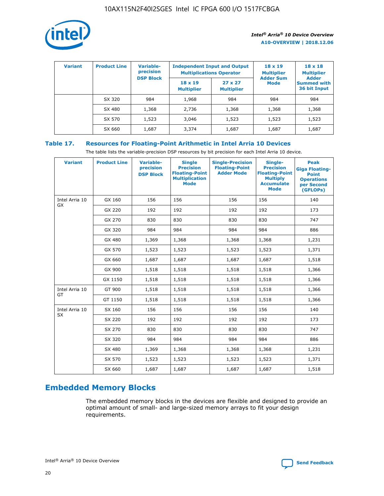

| <b>Variant</b> | <b>Product Line</b> | Variable-<br>precision | <b>Independent Input and Output</b><br><b>Multiplications Operator</b> |                                     | $18 \times 19$<br><b>Multiplier</b> | $18 \times 18$<br><b>Multiplier</b><br><b>Adder</b> |  |
|----------------|---------------------|------------------------|------------------------------------------------------------------------|-------------------------------------|-------------------------------------|-----------------------------------------------------|--|
|                |                     | <b>DSP Block</b>       | $18 \times 19$<br><b>Multiplier</b>                                    | $27 \times 27$<br><b>Multiplier</b> | <b>Adder Sum</b><br><b>Mode</b>     | <b>Summed with</b><br>36 bit Input                  |  |
|                | SX 320              | 984                    | 1,968                                                                  | 984                                 | 984                                 | 984                                                 |  |
|                | SX 480              | 1,368                  | 2,736                                                                  | 1,368                               | 1,368                               | 1,368                                               |  |
|                | SX 570              | 1,523                  | 3,046                                                                  | 1,523                               | 1,523                               | 1,523                                               |  |
|                | SX 660              | 1,687                  | 3,374                                                                  | 1,687                               | 1,687                               | 1,687                                               |  |

## **Table 17. Resources for Floating-Point Arithmetic in Intel Arria 10 Devices**

The table lists the variable-precision DSP resources by bit precision for each Intel Arria 10 device.

| <b>Variant</b> | <b>Product Line</b> | <b>Variable-</b><br>precision<br><b>DSP Block</b> | <b>Single</b><br><b>Precision</b><br><b>Floating-Point</b><br><b>Multiplication</b><br><b>Mode</b> | <b>Single-Precision</b><br><b>Floating-Point</b><br><b>Adder Mode</b> | Single-<br><b>Precision</b><br><b>Floating-Point</b><br><b>Multiply</b><br><b>Accumulate</b><br><b>Mode</b> | <b>Peak</b><br><b>Giga Floating-</b><br><b>Point</b><br><b>Operations</b><br>per Second<br>(GFLOPs) |
|----------------|---------------------|---------------------------------------------------|----------------------------------------------------------------------------------------------------|-----------------------------------------------------------------------|-------------------------------------------------------------------------------------------------------------|-----------------------------------------------------------------------------------------------------|
| Intel Arria 10 | GX 160              | 156                                               | 156                                                                                                | 156                                                                   | 156                                                                                                         | 140                                                                                                 |
| <b>GX</b>      | GX 220              | 192                                               | 192                                                                                                | 192                                                                   | 192                                                                                                         | 173                                                                                                 |
|                | GX 270              | 830                                               | 830                                                                                                | 830                                                                   | 830                                                                                                         | 747                                                                                                 |
|                | GX 320              | 984                                               | 984                                                                                                | 984                                                                   | 984                                                                                                         | 886                                                                                                 |
|                | GX 480              | 1,369                                             | 1,368                                                                                              | 1,368                                                                 | 1,368                                                                                                       | 1,231                                                                                               |
|                | GX 570              | 1,523                                             | 1,523                                                                                              | 1,523                                                                 | 1,523                                                                                                       | 1,371                                                                                               |
|                | GX 660              | 1,687                                             | 1,687                                                                                              | 1,687                                                                 | 1,687                                                                                                       | 1,518                                                                                               |
|                | GX 900              | 1,518                                             | 1,518                                                                                              | 1,518                                                                 | 1,518                                                                                                       | 1,366                                                                                               |
|                | GX 1150             | 1,518                                             | 1,518                                                                                              | 1,518                                                                 | 1,518                                                                                                       | 1,366                                                                                               |
| Intel Arria 10 | GT 900              | 1,518                                             | 1,518                                                                                              | 1,518                                                                 | 1,518                                                                                                       | 1,366                                                                                               |
| GT             | GT 1150             | 1,518                                             | 1,518                                                                                              | 1,518                                                                 | 1,518                                                                                                       | 1,366                                                                                               |
| Intel Arria 10 | SX 160              | 156                                               | 156                                                                                                | 156                                                                   | 156                                                                                                         | 140                                                                                                 |
| SX             | SX 220              | 192                                               | 192                                                                                                | 192                                                                   | 192                                                                                                         | 173                                                                                                 |
|                | SX 270              | 830                                               | 830                                                                                                | 830                                                                   | 830                                                                                                         | 747                                                                                                 |
|                | SX 320              | 984                                               | 984                                                                                                | 984                                                                   | 984                                                                                                         | 886                                                                                                 |
|                | SX 480              | 1,369                                             | 1,368                                                                                              | 1,368                                                                 | 1,368                                                                                                       | 1,231                                                                                               |
|                | SX 570              | 1,523                                             | 1,523                                                                                              | 1,523                                                                 | 1,523                                                                                                       | 1,371                                                                                               |
|                | SX 660              | 1,687                                             | 1,687                                                                                              | 1,687                                                                 | 1,687                                                                                                       | 1,518                                                                                               |

# **Embedded Memory Blocks**

The embedded memory blocks in the devices are flexible and designed to provide an optimal amount of small- and large-sized memory arrays to fit your design requirements.

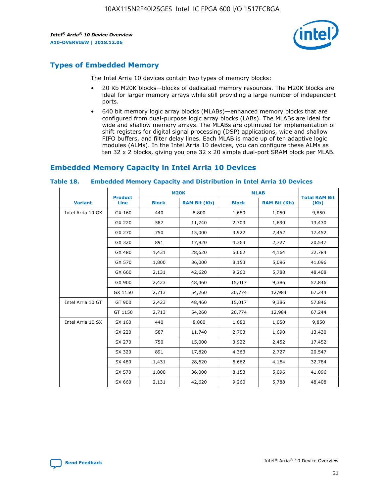

# **Types of Embedded Memory**

The Intel Arria 10 devices contain two types of memory blocks:

- 20 Kb M20K blocks—blocks of dedicated memory resources. The M20K blocks are ideal for larger memory arrays while still providing a large number of independent ports.
- 640 bit memory logic array blocks (MLABs)—enhanced memory blocks that are configured from dual-purpose logic array blocks (LABs). The MLABs are ideal for wide and shallow memory arrays. The MLABs are optimized for implementation of shift registers for digital signal processing (DSP) applications, wide and shallow FIFO buffers, and filter delay lines. Each MLAB is made up of ten adaptive logic modules (ALMs). In the Intel Arria 10 devices, you can configure these ALMs as ten 32 x 2 blocks, giving you one 32 x 20 simple dual-port SRAM block per MLAB.

# **Embedded Memory Capacity in Intel Arria 10 Devices**

|                   | <b>Product</b> | <b>M20K</b>  |                     | <b>MLAB</b>  |                     | <b>Total RAM Bit</b> |
|-------------------|----------------|--------------|---------------------|--------------|---------------------|----------------------|
| <b>Variant</b>    | <b>Line</b>    | <b>Block</b> | <b>RAM Bit (Kb)</b> | <b>Block</b> | <b>RAM Bit (Kb)</b> | (Kb)                 |
| Intel Arria 10 GX | GX 160         | 440          | 8,800               | 1,680        | 1,050               | 9,850                |
|                   | GX 220         | 587          | 11,740              | 2,703        | 1,690               | 13,430               |
|                   | GX 270         | 750          | 15,000              | 3,922        | 2,452               | 17,452               |
|                   | GX 320         | 891          | 17,820              | 4,363        | 2,727               | 20,547               |
|                   | GX 480         | 1,431        | 28,620              | 6,662        | 4,164               | 32,784               |
|                   | GX 570         | 1,800        | 36,000              | 8,153        | 5,096               | 41,096               |
|                   | GX 660         | 2,131        | 42,620              | 9,260        | 5,788               | 48,408               |
|                   | GX 900         | 2,423        | 48,460              | 15,017       | 9,386               | 57,846               |
|                   | GX 1150        | 2,713        | 54,260              | 20,774       | 12,984              | 67,244               |
| Intel Arria 10 GT | GT 900         | 2,423        | 48,460              | 15,017       | 9,386               | 57,846               |
|                   | GT 1150        | 2,713        | 54,260              | 20,774       | 12,984              | 67,244               |
| Intel Arria 10 SX | SX 160         | 440          | 8,800               | 1,680        | 1,050               | 9,850                |
|                   | SX 220         | 587          | 11,740              | 2,703        | 1,690               | 13,430               |
|                   | SX 270         | 750          | 15,000              | 3,922        | 2,452               | 17,452               |
|                   | SX 320         | 891          | 17,820              | 4,363        | 2,727               | 20,547               |
|                   | SX 480         | 1,431        | 28,620              | 6,662        | 4,164               | 32,784               |
|                   | SX 570         | 1,800        | 36,000              | 8,153        | 5,096               | 41,096               |
|                   | SX 660         | 2,131        | 42,620              | 9,260        | 5,788               | 48,408               |

#### **Table 18. Embedded Memory Capacity and Distribution in Intel Arria 10 Devices**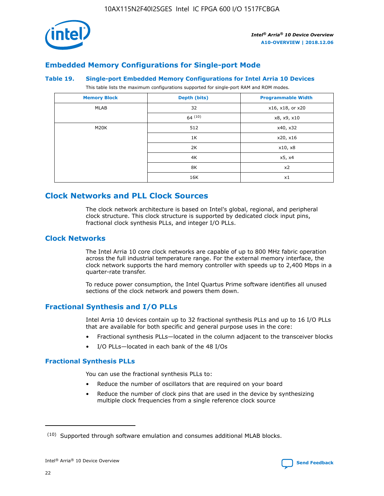

## **Embedded Memory Configurations for Single-port Mode**

#### **Table 19. Single-port Embedded Memory Configurations for Intel Arria 10 Devices**

This table lists the maximum configurations supported for single-port RAM and ROM modes.

| <b>Memory Block</b> | Depth (bits) | <b>Programmable Width</b> |
|---------------------|--------------|---------------------------|
| MLAB                | 32           | x16, x18, or x20          |
|                     | 64(10)       | x8, x9, x10               |
| M20K                | 512          | x40, x32                  |
|                     | 1K           | x20, x16                  |
|                     | 2K           | x10, x8                   |
|                     | 4K           | x5, x4                    |
|                     | 8K           | x2                        |
|                     | 16K          | x1                        |

# **Clock Networks and PLL Clock Sources**

The clock network architecture is based on Intel's global, regional, and peripheral clock structure. This clock structure is supported by dedicated clock input pins, fractional clock synthesis PLLs, and integer I/O PLLs.

## **Clock Networks**

The Intel Arria 10 core clock networks are capable of up to 800 MHz fabric operation across the full industrial temperature range. For the external memory interface, the clock network supports the hard memory controller with speeds up to 2,400 Mbps in a quarter-rate transfer.

To reduce power consumption, the Intel Quartus Prime software identifies all unused sections of the clock network and powers them down.

## **Fractional Synthesis and I/O PLLs**

Intel Arria 10 devices contain up to 32 fractional synthesis PLLs and up to 16 I/O PLLs that are available for both specific and general purpose uses in the core:

- Fractional synthesis PLLs—located in the column adjacent to the transceiver blocks
- I/O PLLs—located in each bank of the 48 I/Os

#### **Fractional Synthesis PLLs**

You can use the fractional synthesis PLLs to:

- Reduce the number of oscillators that are required on your board
- Reduce the number of clock pins that are used in the device by synthesizing multiple clock frequencies from a single reference clock source

<sup>(10)</sup> Supported through software emulation and consumes additional MLAB blocks.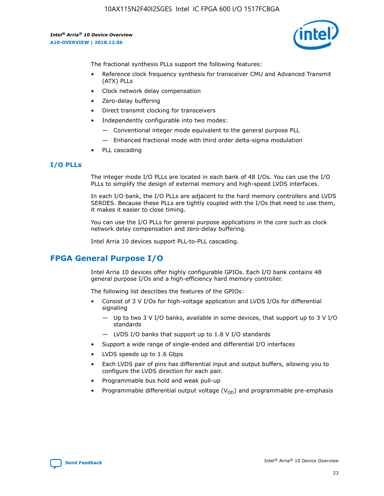

The fractional synthesis PLLs support the following features:

- Reference clock frequency synthesis for transceiver CMU and Advanced Transmit (ATX) PLLs
- Clock network delay compensation
- Zero-delay buffering
- Direct transmit clocking for transceivers
- Independently configurable into two modes:
	- Conventional integer mode equivalent to the general purpose PLL
	- Enhanced fractional mode with third order delta-sigma modulation
- PLL cascading

## **I/O PLLs**

The integer mode I/O PLLs are located in each bank of 48 I/Os. You can use the I/O PLLs to simplify the design of external memory and high-speed LVDS interfaces.

In each I/O bank, the I/O PLLs are adjacent to the hard memory controllers and LVDS SERDES. Because these PLLs are tightly coupled with the I/Os that need to use them, it makes it easier to close timing.

You can use the I/O PLLs for general purpose applications in the core such as clock network delay compensation and zero-delay buffering.

Intel Arria 10 devices support PLL-to-PLL cascading.

# **FPGA General Purpose I/O**

Intel Arria 10 devices offer highly configurable GPIOs. Each I/O bank contains 48 general purpose I/Os and a high-efficiency hard memory controller.

The following list describes the features of the GPIOs:

- Consist of 3 V I/Os for high-voltage application and LVDS I/Os for differential signaling
	- Up to two 3 V I/O banks, available in some devices, that support up to 3 V I/O standards
	- LVDS I/O banks that support up to 1.8 V I/O standards
- Support a wide range of single-ended and differential I/O interfaces
- LVDS speeds up to 1.6 Gbps
- Each LVDS pair of pins has differential input and output buffers, allowing you to configure the LVDS direction for each pair.
- Programmable bus hold and weak pull-up
- Programmable differential output voltage  $(V_{OD})$  and programmable pre-emphasis

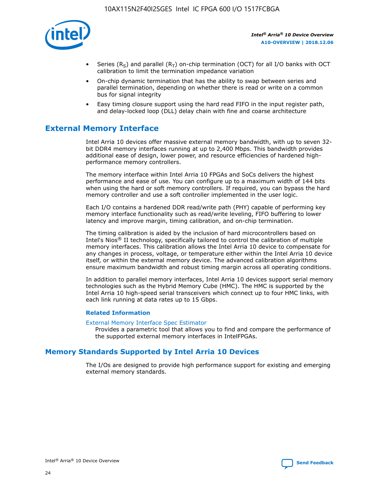

- Series (R<sub>S</sub>) and parallel (R<sub>T</sub>) on-chip termination (OCT) for all I/O banks with OCT calibration to limit the termination impedance variation
- On-chip dynamic termination that has the ability to swap between series and parallel termination, depending on whether there is read or write on a common bus for signal integrity
- Easy timing closure support using the hard read FIFO in the input register path, and delay-locked loop (DLL) delay chain with fine and coarse architecture

# **External Memory Interface**

Intel Arria 10 devices offer massive external memory bandwidth, with up to seven 32 bit DDR4 memory interfaces running at up to 2,400 Mbps. This bandwidth provides additional ease of design, lower power, and resource efficiencies of hardened highperformance memory controllers.

The memory interface within Intel Arria 10 FPGAs and SoCs delivers the highest performance and ease of use. You can configure up to a maximum width of 144 bits when using the hard or soft memory controllers. If required, you can bypass the hard memory controller and use a soft controller implemented in the user logic.

Each I/O contains a hardened DDR read/write path (PHY) capable of performing key memory interface functionality such as read/write leveling, FIFO buffering to lower latency and improve margin, timing calibration, and on-chip termination.

The timing calibration is aided by the inclusion of hard microcontrollers based on Intel's Nios® II technology, specifically tailored to control the calibration of multiple memory interfaces. This calibration allows the Intel Arria 10 device to compensate for any changes in process, voltage, or temperature either within the Intel Arria 10 device itself, or within the external memory device. The advanced calibration algorithms ensure maximum bandwidth and robust timing margin across all operating conditions.

In addition to parallel memory interfaces, Intel Arria 10 devices support serial memory technologies such as the Hybrid Memory Cube (HMC). The HMC is supported by the Intel Arria 10 high-speed serial transceivers which connect up to four HMC links, with each link running at data rates up to 15 Gbps.

#### **Related Information**

#### [External Memory Interface Spec Estimator](http://www.altera.com/technology/memory/estimator/mem-emif-index.html)

Provides a parametric tool that allows you to find and compare the performance of the supported external memory interfaces in IntelFPGAs.

## **Memory Standards Supported by Intel Arria 10 Devices**

The I/Os are designed to provide high performance support for existing and emerging external memory standards.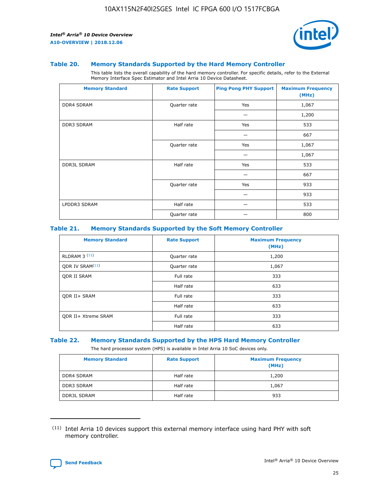

#### **Table 20. Memory Standards Supported by the Hard Memory Controller**

This table lists the overall capability of the hard memory controller. For specific details, refer to the External Memory Interface Spec Estimator and Intel Arria 10 Device Datasheet.

| <b>Memory Standard</b> | <b>Rate Support</b> | <b>Ping Pong PHY Support</b> | <b>Maximum Frequency</b><br>(MHz) |
|------------------------|---------------------|------------------------------|-----------------------------------|
| <b>DDR4 SDRAM</b>      | Quarter rate        | Yes                          | 1,067                             |
|                        |                     |                              | 1,200                             |
| <b>DDR3 SDRAM</b>      | Half rate           | Yes                          | 533                               |
|                        |                     |                              | 667                               |
|                        | Quarter rate        | Yes                          | 1,067                             |
|                        |                     |                              | 1,067                             |
| <b>DDR3L SDRAM</b>     | Half rate           | Yes                          | 533                               |
|                        |                     |                              | 667                               |
|                        | Quarter rate        | Yes                          | 933                               |
|                        |                     |                              | 933                               |
| LPDDR3 SDRAM           | Half rate           |                              | 533                               |
|                        | Quarter rate        |                              | 800                               |

#### **Table 21. Memory Standards Supported by the Soft Memory Controller**

| <b>Memory Standard</b>      | <b>Rate Support</b> | <b>Maximum Frequency</b><br>(MHz) |
|-----------------------------|---------------------|-----------------------------------|
| <b>RLDRAM 3 (11)</b>        | Quarter rate        | 1,200                             |
| ODR IV SRAM <sup>(11)</sup> | Quarter rate        | 1,067                             |
| <b>ODR II SRAM</b>          | Full rate           | 333                               |
|                             | Half rate           | 633                               |
| <b>ODR II+ SRAM</b>         | Full rate           | 333                               |
|                             | Half rate           | 633                               |
| <b>ODR II+ Xtreme SRAM</b>  | Full rate           | 333                               |
|                             | Half rate           | 633                               |

#### **Table 22. Memory Standards Supported by the HPS Hard Memory Controller**

The hard processor system (HPS) is available in Intel Arria 10 SoC devices only.

| <b>Memory Standard</b> | <b>Rate Support</b> | <b>Maximum Frequency</b><br>(MHz) |
|------------------------|---------------------|-----------------------------------|
| <b>DDR4 SDRAM</b>      | Half rate           | 1,200                             |
| <b>DDR3 SDRAM</b>      | Half rate           | 1,067                             |
| <b>DDR3L SDRAM</b>     | Half rate           | 933                               |

<sup>(11)</sup> Intel Arria 10 devices support this external memory interface using hard PHY with soft memory controller.

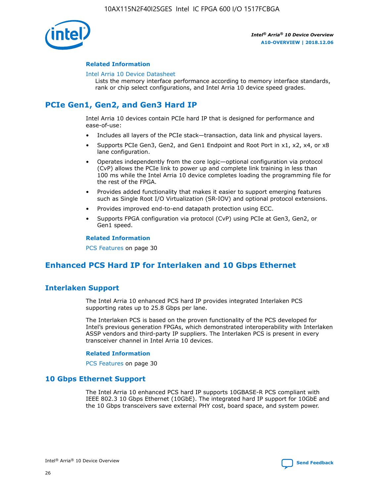

#### **Related Information**

#### [Intel Arria 10 Device Datasheet](https://www.intel.com/content/www/us/en/programmable/documentation/mcn1413182292568.html#mcn1413182153340)

Lists the memory interface performance according to memory interface standards, rank or chip select configurations, and Intel Arria 10 device speed grades.

# **PCIe Gen1, Gen2, and Gen3 Hard IP**

Intel Arria 10 devices contain PCIe hard IP that is designed for performance and ease-of-use:

- Includes all layers of the PCIe stack—transaction, data link and physical layers.
- Supports PCIe Gen3, Gen2, and Gen1 Endpoint and Root Port in x1, x2, x4, or x8 lane configuration.
- Operates independently from the core logic—optional configuration via protocol (CvP) allows the PCIe link to power up and complete link training in less than 100 ms while the Intel Arria 10 device completes loading the programming file for the rest of the FPGA.
- Provides added functionality that makes it easier to support emerging features such as Single Root I/O Virtualization (SR-IOV) and optional protocol extensions.
- Provides improved end-to-end datapath protection using ECC.
- Supports FPGA configuration via protocol (CvP) using PCIe at Gen3, Gen2, or Gen1 speed.

#### **Related Information**

PCS Features on page 30

# **Enhanced PCS Hard IP for Interlaken and 10 Gbps Ethernet**

## **Interlaken Support**

The Intel Arria 10 enhanced PCS hard IP provides integrated Interlaken PCS supporting rates up to 25.8 Gbps per lane.

The Interlaken PCS is based on the proven functionality of the PCS developed for Intel's previous generation FPGAs, which demonstrated interoperability with Interlaken ASSP vendors and third-party IP suppliers. The Interlaken PCS is present in every transceiver channel in Intel Arria 10 devices.

#### **Related Information**

PCS Features on page 30

## **10 Gbps Ethernet Support**

The Intel Arria 10 enhanced PCS hard IP supports 10GBASE-R PCS compliant with IEEE 802.3 10 Gbps Ethernet (10GbE). The integrated hard IP support for 10GbE and the 10 Gbps transceivers save external PHY cost, board space, and system power.

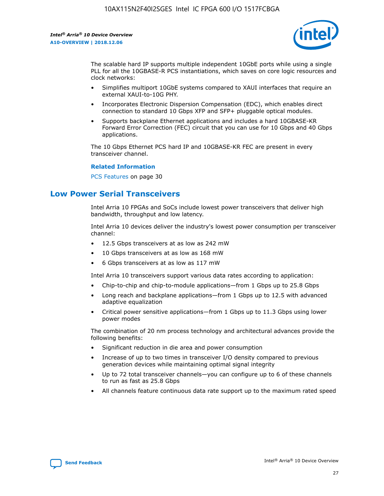

The scalable hard IP supports multiple independent 10GbE ports while using a single PLL for all the 10GBASE-R PCS instantiations, which saves on core logic resources and clock networks:

- Simplifies multiport 10GbE systems compared to XAUI interfaces that require an external XAUI-to-10G PHY.
- Incorporates Electronic Dispersion Compensation (EDC), which enables direct connection to standard 10 Gbps XFP and SFP+ pluggable optical modules.
- Supports backplane Ethernet applications and includes a hard 10GBASE-KR Forward Error Correction (FEC) circuit that you can use for 10 Gbps and 40 Gbps applications.

The 10 Gbps Ethernet PCS hard IP and 10GBASE-KR FEC are present in every transceiver channel.

#### **Related Information**

PCS Features on page 30

# **Low Power Serial Transceivers**

Intel Arria 10 FPGAs and SoCs include lowest power transceivers that deliver high bandwidth, throughput and low latency.

Intel Arria 10 devices deliver the industry's lowest power consumption per transceiver channel:

- 12.5 Gbps transceivers at as low as 242 mW
- 10 Gbps transceivers at as low as 168 mW
- 6 Gbps transceivers at as low as 117 mW

Intel Arria 10 transceivers support various data rates according to application:

- Chip-to-chip and chip-to-module applications—from 1 Gbps up to 25.8 Gbps
- Long reach and backplane applications—from 1 Gbps up to 12.5 with advanced adaptive equalization
- Critical power sensitive applications—from 1 Gbps up to 11.3 Gbps using lower power modes

The combination of 20 nm process technology and architectural advances provide the following benefits:

- Significant reduction in die area and power consumption
- Increase of up to two times in transceiver I/O density compared to previous generation devices while maintaining optimal signal integrity
- Up to 72 total transceiver channels—you can configure up to 6 of these channels to run as fast as 25.8 Gbps
- All channels feature continuous data rate support up to the maximum rated speed

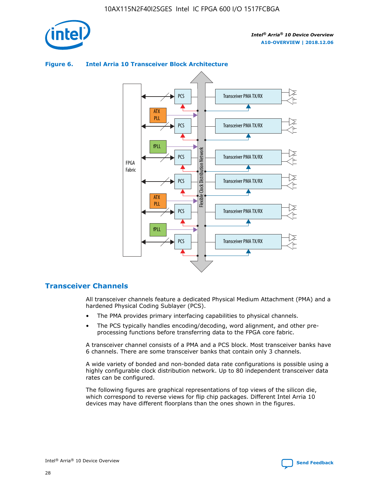

#### Transceiver PMA TX/RX PCS ATX PLL Transceiver PMA TX/RX PCS fPLL Network Flexible Clock Distribution Network PCS Transceiver PMA TX/RX FPGA **Clock Distribution** Fabric PCS Transceiver PMA TX/RX ATX Flexible PLL PCS Transceiver PMA TX/RX ▲ fPLL Transceiver PMA TX/RX PCS 4

## **Figure 6. Intel Arria 10 Transceiver Block Architecture**

## **Transceiver Channels**

All transceiver channels feature a dedicated Physical Medium Attachment (PMA) and a hardened Physical Coding Sublayer (PCS).

- The PMA provides primary interfacing capabilities to physical channels.
- The PCS typically handles encoding/decoding, word alignment, and other preprocessing functions before transferring data to the FPGA core fabric.

A transceiver channel consists of a PMA and a PCS block. Most transceiver banks have 6 channels. There are some transceiver banks that contain only 3 channels.

A wide variety of bonded and non-bonded data rate configurations is possible using a highly configurable clock distribution network. Up to 80 independent transceiver data rates can be configured.

The following figures are graphical representations of top views of the silicon die, which correspond to reverse views for flip chip packages. Different Intel Arria 10 devices may have different floorplans than the ones shown in the figures.

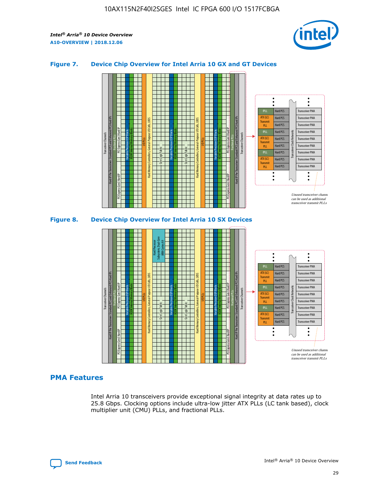

## **Figure 7. Device Chip Overview for Intel Arria 10 GX and GT Devices**





## **PMA Features**

Intel Arria 10 transceivers provide exceptional signal integrity at data rates up to 25.8 Gbps. Clocking options include ultra-low jitter ATX PLLs (LC tank based), clock multiplier unit (CMU) PLLs, and fractional PLLs.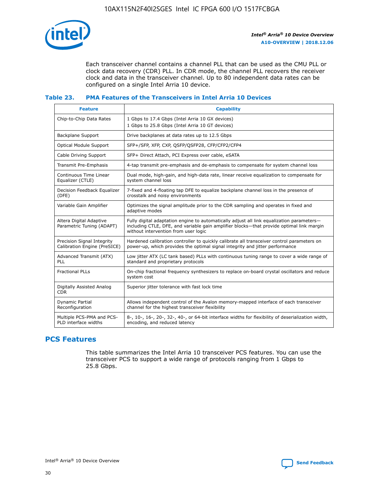

Each transceiver channel contains a channel PLL that can be used as the CMU PLL or clock data recovery (CDR) PLL. In CDR mode, the channel PLL recovers the receiver clock and data in the transceiver channel. Up to 80 independent data rates can be configured on a single Intel Arria 10 device.

## **Table 23. PMA Features of the Transceivers in Intel Arria 10 Devices**

| <b>Feature</b>                                             | <b>Capability</b>                                                                                                                                                                                                             |
|------------------------------------------------------------|-------------------------------------------------------------------------------------------------------------------------------------------------------------------------------------------------------------------------------|
| Chip-to-Chip Data Rates                                    | 1 Gbps to 17.4 Gbps (Intel Arria 10 GX devices)<br>1 Gbps to 25.8 Gbps (Intel Arria 10 GT devices)                                                                                                                            |
| Backplane Support                                          | Drive backplanes at data rates up to 12.5 Gbps                                                                                                                                                                                |
| <b>Optical Module Support</b>                              | SFP+/SFP, XFP, CXP, QSFP/QSFP28, CFP/CFP2/CFP4                                                                                                                                                                                |
| Cable Driving Support                                      | SFP+ Direct Attach, PCI Express over cable, eSATA                                                                                                                                                                             |
| Transmit Pre-Emphasis                                      | 4-tap transmit pre-emphasis and de-emphasis to compensate for system channel loss                                                                                                                                             |
| Continuous Time Linear<br>Equalizer (CTLE)                 | Dual mode, high-gain, and high-data rate, linear receive equalization to compensate for<br>system channel loss                                                                                                                |
| Decision Feedback Equalizer<br>(DFE)                       | 7-fixed and 4-floating tap DFE to equalize backplane channel loss in the presence of<br>crosstalk and noisy environments                                                                                                      |
| Variable Gain Amplifier                                    | Optimizes the signal amplitude prior to the CDR sampling and operates in fixed and<br>adaptive modes                                                                                                                          |
| Altera Digital Adaptive<br>Parametric Tuning (ADAPT)       | Fully digital adaptation engine to automatically adjust all link equalization parameters-<br>including CTLE, DFE, and variable gain amplifier blocks—that provide optimal link margin<br>without intervention from user logic |
| Precision Signal Integrity<br>Calibration Engine (PreSICE) | Hardened calibration controller to quickly calibrate all transceiver control parameters on<br>power-up, which provides the optimal signal integrity and jitter performance                                                    |
| Advanced Transmit (ATX)<br><b>PLL</b>                      | Low jitter ATX (LC tank based) PLLs with continuous tuning range to cover a wide range of<br>standard and proprietary protocols                                                                                               |
| <b>Fractional PLLs</b>                                     | On-chip fractional frequency synthesizers to replace on-board crystal oscillators and reduce<br>system cost                                                                                                                   |
| Digitally Assisted Analog<br><b>CDR</b>                    | Superior jitter tolerance with fast lock time                                                                                                                                                                                 |
| Dynamic Partial<br>Reconfiguration                         | Allows independent control of the Avalon memory-mapped interface of each transceiver<br>channel for the highest transceiver flexibility                                                                                       |
| Multiple PCS-PMA and PCS-<br>PLD interface widths          | 8-, 10-, 16-, 20-, 32-, 40-, or 64-bit interface widths for flexibility of deserialization width,<br>encoding, and reduced latency                                                                                            |

## **PCS Features**

This table summarizes the Intel Arria 10 transceiver PCS features. You can use the transceiver PCS to support a wide range of protocols ranging from 1 Gbps to 25.8 Gbps.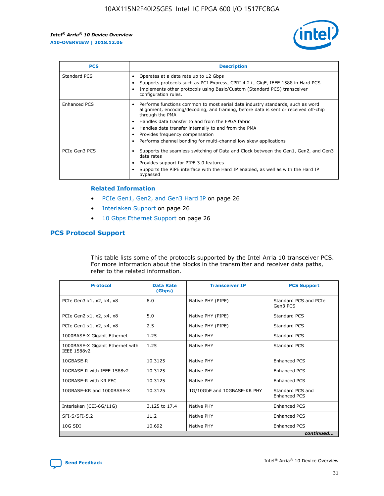

| <b>PCS</b>    | <b>Description</b>                                                                                                                                                                                                                                                                                                                                                                                             |
|---------------|----------------------------------------------------------------------------------------------------------------------------------------------------------------------------------------------------------------------------------------------------------------------------------------------------------------------------------------------------------------------------------------------------------------|
| Standard PCS  | Operates at a data rate up to 12 Gbps<br>Supports protocols such as PCI-Express, CPRI 4.2+, GigE, IEEE 1588 in Hard PCS<br>Implements other protocols using Basic/Custom (Standard PCS) transceiver<br>configuration rules.                                                                                                                                                                                    |
| Enhanced PCS  | Performs functions common to most serial data industry standards, such as word<br>alignment, encoding/decoding, and framing, before data is sent or received off-chip<br>through the PMA<br>• Handles data transfer to and from the FPGA fabric<br>Handles data transfer internally to and from the PMA<br>Provides frequency compensation<br>Performs channel bonding for multi-channel low skew applications |
| PCIe Gen3 PCS | Supports the seamless switching of Data and Clock between the Gen1, Gen2, and Gen3<br>data rates<br>Provides support for PIPE 3.0 features<br>Supports the PIPE interface with the Hard IP enabled, as well as with the Hard IP<br>bypassed                                                                                                                                                                    |

#### **Related Information**

- PCIe Gen1, Gen2, and Gen3 Hard IP on page 26
- Interlaken Support on page 26
- 10 Gbps Ethernet Support on page 26

## **PCS Protocol Support**

This table lists some of the protocols supported by the Intel Arria 10 transceiver PCS. For more information about the blocks in the transmitter and receiver data paths, refer to the related information.

| <b>Protocol</b>                                 | <b>Data Rate</b><br>(Gbps) | <b>Transceiver IP</b>       | <b>PCS Support</b>                      |
|-------------------------------------------------|----------------------------|-----------------------------|-----------------------------------------|
| PCIe Gen3 x1, x2, x4, x8                        | 8.0                        | Native PHY (PIPE)           | Standard PCS and PCIe<br>Gen3 PCS       |
| PCIe Gen2 x1, x2, x4, x8                        | 5.0                        | Native PHY (PIPE)           | <b>Standard PCS</b>                     |
| PCIe Gen1 x1, x2, x4, x8                        | 2.5                        | Native PHY (PIPE)           | Standard PCS                            |
| 1000BASE-X Gigabit Ethernet                     | 1.25                       | Native PHY                  | <b>Standard PCS</b>                     |
| 1000BASE-X Gigabit Ethernet with<br>IEEE 1588v2 | 1.25                       | Native PHY                  | Standard PCS                            |
| 10GBASE-R                                       | 10.3125                    | Native PHY                  | <b>Enhanced PCS</b>                     |
| 10GBASE-R with IEEE 1588v2                      | 10.3125                    | Native PHY                  | <b>Enhanced PCS</b>                     |
| 10GBASE-R with KR FEC                           | 10.3125                    | Native PHY                  | <b>Enhanced PCS</b>                     |
| 10GBASE-KR and 1000BASE-X                       | 10.3125                    | 1G/10GbE and 10GBASE-KR PHY | Standard PCS and<br><b>Enhanced PCS</b> |
| Interlaken (CEI-6G/11G)                         | 3.125 to 17.4              | Native PHY                  | <b>Enhanced PCS</b>                     |
| SFI-S/SFI-5.2                                   | 11.2                       | Native PHY                  | <b>Enhanced PCS</b>                     |
| $10G$ SDI                                       | 10.692                     | Native PHY                  | <b>Enhanced PCS</b>                     |
|                                                 |                            |                             | continued                               |

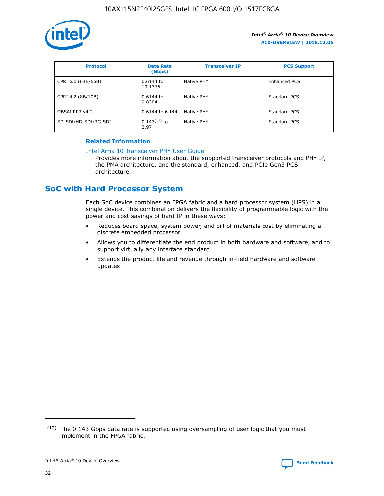

| <b>Protocol</b>      | <b>Data Rate</b><br>(Gbps) | <b>Transceiver IP</b> | <b>PCS Support</b> |
|----------------------|----------------------------|-----------------------|--------------------|
| CPRI 6.0 (64B/66B)   | 0.6144 to<br>10.1376       | Native PHY            | Enhanced PCS       |
| CPRI 4.2 (8B/10B)    | $0.6144$ to<br>9.8304      | Native PHY            | Standard PCS       |
| OBSAI RP3 v4.2       | 0.6144 to 6.144            | Native PHY            | Standard PCS       |
| SD-SDI/HD-SDI/3G-SDI | $0.143(12)$ to<br>2.97     | Native PHY            | Standard PCS       |

## **Related Information**

#### [Intel Arria 10 Transceiver PHY User Guide](https://www.intel.com/content/www/us/en/programmable/documentation/nik1398707230472.html#nik1398707091164)

Provides more information about the supported transceiver protocols and PHY IP, the PMA architecture, and the standard, enhanced, and PCIe Gen3 PCS architecture.

# **SoC with Hard Processor System**

Each SoC device combines an FPGA fabric and a hard processor system (HPS) in a single device. This combination delivers the flexibility of programmable logic with the power and cost savings of hard IP in these ways:

- Reduces board space, system power, and bill of materials cost by eliminating a discrete embedded processor
- Allows you to differentiate the end product in both hardware and software, and to support virtually any interface standard
- Extends the product life and revenue through in-field hardware and software updates

 $(12)$  The 0.143 Gbps data rate is supported using oversampling of user logic that you must implement in the FPGA fabric.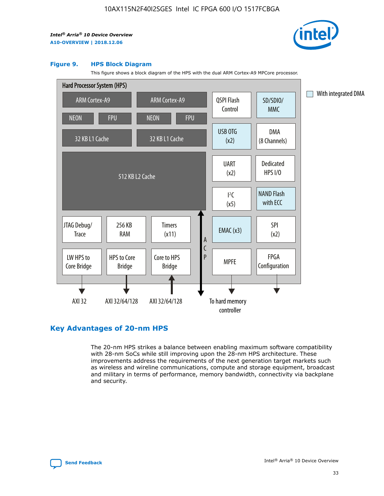

#### **Figure 9. HPS Block Diagram**

This figure shows a block diagram of the HPS with the dual ARM Cortex-A9 MPCore processor.



## **Key Advantages of 20-nm HPS**

The 20-nm HPS strikes a balance between enabling maximum software compatibility with 28-nm SoCs while still improving upon the 28-nm HPS architecture. These improvements address the requirements of the next generation target markets such as wireless and wireline communications, compute and storage equipment, broadcast and military in terms of performance, memory bandwidth, connectivity via backplane and security.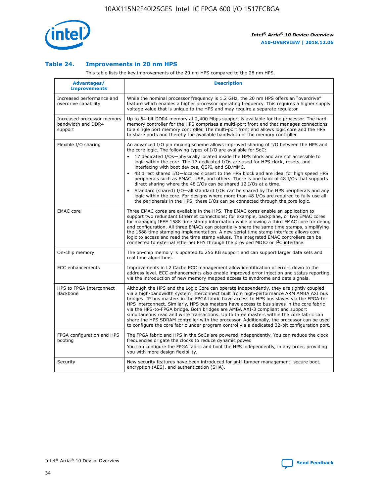

## **Table 24. Improvements in 20 nm HPS**

This table lists the key improvements of the 20 nm HPS compared to the 28 nm HPS.

| Advantages/<br><b>Improvements</b>                          | <b>Description</b>                                                                                                                                                                                                                                                                                                                                                                                                                                                                                                                                                                                                                                                                                                                                                                                                                                                                                                                   |
|-------------------------------------------------------------|--------------------------------------------------------------------------------------------------------------------------------------------------------------------------------------------------------------------------------------------------------------------------------------------------------------------------------------------------------------------------------------------------------------------------------------------------------------------------------------------------------------------------------------------------------------------------------------------------------------------------------------------------------------------------------------------------------------------------------------------------------------------------------------------------------------------------------------------------------------------------------------------------------------------------------------|
| Increased performance and<br>overdrive capability           | While the nominal processor frequency is 1.2 GHz, the 20 nm HPS offers an "overdrive"<br>feature which enables a higher processor operating frequency. This requires a higher supply<br>voltage value that is unique to the HPS and may require a separate regulator.                                                                                                                                                                                                                                                                                                                                                                                                                                                                                                                                                                                                                                                                |
| Increased processor memory<br>bandwidth and DDR4<br>support | Up to 64-bit DDR4 memory at 2,400 Mbps support is available for the processor. The hard<br>memory controller for the HPS comprises a multi-port front end that manages connections<br>to a single port memory controller. The multi-port front end allows logic core and the HPS<br>to share ports and thereby the available bandwidth of the memory controller.                                                                                                                                                                                                                                                                                                                                                                                                                                                                                                                                                                     |
| Flexible I/O sharing                                        | An advanced I/O pin muxing scheme allows improved sharing of I/O between the HPS and<br>the core logic. The following types of I/O are available for SoC:<br>17 dedicated I/Os-physically located inside the HPS block and are not accessible to<br>logic within the core. The 17 dedicated I/Os are used for HPS clock, resets, and<br>interfacing with boot devices, QSPI, and SD/MMC.<br>48 direct shared I/O-located closest to the HPS block and are ideal for high speed HPS<br>$\bullet$<br>peripherals such as EMAC, USB, and others. There is one bank of 48 I/Os that supports<br>direct sharing where the 48 I/Os can be shared 12 I/Os at a time.<br>Standard (shared) I/O-all standard I/Os can be shared by the HPS peripherals and any<br>logic within the core. For designs where more than 48 I/Os are required to fully use all<br>the peripherals in the HPS, these I/Os can be connected through the core logic. |
| <b>EMAC</b> core                                            | Three EMAC cores are available in the HPS. The EMAC cores enable an application to<br>support two redundant Ethernet connections; for example, backplane, or two EMAC cores<br>for managing IEEE 1588 time stamp information while allowing a third EMAC core for debug<br>and configuration. All three EMACs can potentially share the same time stamps, simplifying<br>the 1588 time stamping implementation. A new serial time stamp interface allows core<br>logic to access and read the time stamp values. The integrated EMAC controllers can be<br>connected to external Ethernet PHY through the provided MDIO or I <sup>2</sup> C interface.                                                                                                                                                                                                                                                                               |
| On-chip memory                                              | The on-chip memory is updated to 256 KB support and can support larger data sets and<br>real time algorithms.                                                                                                                                                                                                                                                                                                                                                                                                                                                                                                                                                                                                                                                                                                                                                                                                                        |
| <b>ECC</b> enhancements                                     | Improvements in L2 Cache ECC management allow identification of errors down to the<br>address level. ECC enhancements also enable improved error injection and status reporting<br>via the introduction of new memory mapped access to syndrome and data signals.                                                                                                                                                                                                                                                                                                                                                                                                                                                                                                                                                                                                                                                                    |
| HPS to FPGA Interconnect<br>Backbone                        | Although the HPS and the Logic Core can operate independently, they are tightly coupled<br>via a high-bandwidth system interconnect built from high-performance ARM AMBA AXI bus<br>bridges. IP bus masters in the FPGA fabric have access to HPS bus slaves via the FPGA-to-<br>HPS interconnect. Similarly, HPS bus masters have access to bus slaves in the core fabric<br>via the HPS-to-FPGA bridge. Both bridges are AMBA AXI-3 compliant and support<br>simultaneous read and write transactions. Up to three masters within the core fabric can<br>share the HPS SDRAM controller with the processor. Additionally, the processor can be used<br>to configure the core fabric under program control via a dedicated 32-bit configuration port.                                                                                                                                                                               |
| FPGA configuration and HPS<br>booting                       | The FPGA fabric and HPS in the SoCs are powered independently. You can reduce the clock<br>frequencies or gate the clocks to reduce dynamic power.<br>You can configure the FPGA fabric and boot the HPS independently, in any order, providing<br>you with more design flexibility.                                                                                                                                                                                                                                                                                                                                                                                                                                                                                                                                                                                                                                                 |
| Security                                                    | New security features have been introduced for anti-tamper management, secure boot,<br>encryption (AES), and authentication (SHA).                                                                                                                                                                                                                                                                                                                                                                                                                                                                                                                                                                                                                                                                                                                                                                                                   |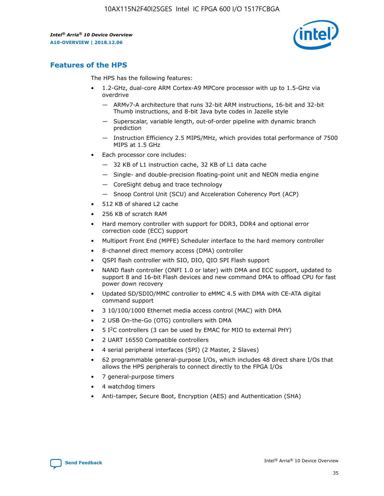

## **Features of the HPS**

The HPS has the following features:

- 1.2-GHz, dual-core ARM Cortex-A9 MPCore processor with up to 1.5-GHz via overdrive
	- ARMv7-A architecture that runs 32-bit ARM instructions, 16-bit and 32-bit Thumb instructions, and 8-bit Java byte codes in Jazelle style
	- Superscalar, variable length, out-of-order pipeline with dynamic branch prediction
	- Instruction Efficiency 2.5 MIPS/MHz, which provides total performance of 7500 MIPS at 1.5 GHz
- Each processor core includes:
	- 32 KB of L1 instruction cache, 32 KB of L1 data cache
	- Single- and double-precision floating-point unit and NEON media engine
	- CoreSight debug and trace technology
	- Snoop Control Unit (SCU) and Acceleration Coherency Port (ACP)
- 512 KB of shared L2 cache
- 256 KB of scratch RAM
- Hard memory controller with support for DDR3, DDR4 and optional error correction code (ECC) support
- Multiport Front End (MPFE) Scheduler interface to the hard memory controller
- 8-channel direct memory access (DMA) controller
- QSPI flash controller with SIO, DIO, QIO SPI Flash support
- NAND flash controller (ONFI 1.0 or later) with DMA and ECC support, updated to support 8 and 16-bit Flash devices and new command DMA to offload CPU for fast power down recovery
- Updated SD/SDIO/MMC controller to eMMC 4.5 with DMA with CE-ATA digital command support
- 3 10/100/1000 Ethernet media access control (MAC) with DMA
- 2 USB On-the-Go (OTG) controllers with DMA
- $\bullet$  5 I<sup>2</sup>C controllers (3 can be used by EMAC for MIO to external PHY)
- 2 UART 16550 Compatible controllers
- 4 serial peripheral interfaces (SPI) (2 Master, 2 Slaves)
- 62 programmable general-purpose I/Os, which includes 48 direct share I/Os that allows the HPS peripherals to connect directly to the FPGA I/Os
- 7 general-purpose timers
- 4 watchdog timers
- Anti-tamper, Secure Boot, Encryption (AES) and Authentication (SHA)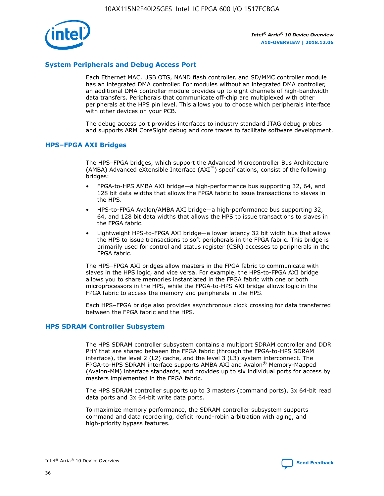

## **System Peripherals and Debug Access Port**

Each Ethernet MAC, USB OTG, NAND flash controller, and SD/MMC controller module has an integrated DMA controller. For modules without an integrated DMA controller, an additional DMA controller module provides up to eight channels of high-bandwidth data transfers. Peripherals that communicate off-chip are multiplexed with other peripherals at the HPS pin level. This allows you to choose which peripherals interface with other devices on your PCB.

The debug access port provides interfaces to industry standard JTAG debug probes and supports ARM CoreSight debug and core traces to facilitate software development.

## **HPS–FPGA AXI Bridges**

The HPS–FPGA bridges, which support the Advanced Microcontroller Bus Architecture (AMBA) Advanced eXtensible Interface (AXI™) specifications, consist of the following bridges:

- FPGA-to-HPS AMBA AXI bridge—a high-performance bus supporting 32, 64, and 128 bit data widths that allows the FPGA fabric to issue transactions to slaves in the HPS.
- HPS-to-FPGA Avalon/AMBA AXI bridge—a high-performance bus supporting 32, 64, and 128 bit data widths that allows the HPS to issue transactions to slaves in the FPGA fabric.
- Lightweight HPS-to-FPGA AXI bridge—a lower latency 32 bit width bus that allows the HPS to issue transactions to soft peripherals in the FPGA fabric. This bridge is primarily used for control and status register (CSR) accesses to peripherals in the FPGA fabric.

The HPS–FPGA AXI bridges allow masters in the FPGA fabric to communicate with slaves in the HPS logic, and vice versa. For example, the HPS-to-FPGA AXI bridge allows you to share memories instantiated in the FPGA fabric with one or both microprocessors in the HPS, while the FPGA-to-HPS AXI bridge allows logic in the FPGA fabric to access the memory and peripherals in the HPS.

Each HPS–FPGA bridge also provides asynchronous clock crossing for data transferred between the FPGA fabric and the HPS.

#### **HPS SDRAM Controller Subsystem**

The HPS SDRAM controller subsystem contains a multiport SDRAM controller and DDR PHY that are shared between the FPGA fabric (through the FPGA-to-HPS SDRAM interface), the level 2 (L2) cache, and the level 3 (L3) system interconnect. The FPGA-to-HPS SDRAM interface supports AMBA AXI and Avalon® Memory-Mapped (Avalon-MM) interface standards, and provides up to six individual ports for access by masters implemented in the FPGA fabric.

The HPS SDRAM controller supports up to 3 masters (command ports), 3x 64-bit read data ports and 3x 64-bit write data ports.

To maximize memory performance, the SDRAM controller subsystem supports command and data reordering, deficit round-robin arbitration with aging, and high-priority bypass features.

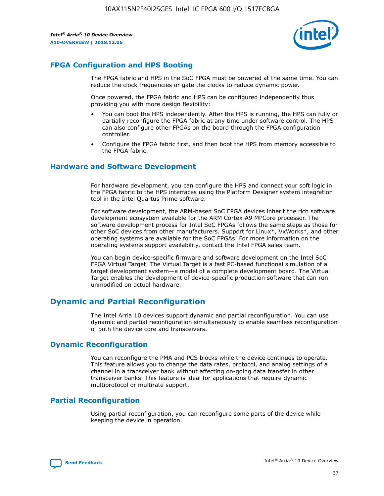

## **FPGA Configuration and HPS Booting**

The FPGA fabric and HPS in the SoC FPGA must be powered at the same time. You can reduce the clock frequencies or gate the clocks to reduce dynamic power.

Once powered, the FPGA fabric and HPS can be configured independently thus providing you with more design flexibility:

- You can boot the HPS independently. After the HPS is running, the HPS can fully or partially reconfigure the FPGA fabric at any time under software control. The HPS can also configure other FPGAs on the board through the FPGA configuration controller.
- Configure the FPGA fabric first, and then boot the HPS from memory accessible to the FPGA fabric.

## **Hardware and Software Development**

For hardware development, you can configure the HPS and connect your soft logic in the FPGA fabric to the HPS interfaces using the Platform Designer system integration tool in the Intel Quartus Prime software.

For software development, the ARM-based SoC FPGA devices inherit the rich software development ecosystem available for the ARM Cortex-A9 MPCore processor. The software development process for Intel SoC FPGAs follows the same steps as those for other SoC devices from other manufacturers. Support for Linux\*, VxWorks\*, and other operating systems are available for the SoC FPGAs. For more information on the operating systems support availability, contact the Intel FPGA sales team.

You can begin device-specific firmware and software development on the Intel SoC FPGA Virtual Target. The Virtual Target is a fast PC-based functional simulation of a target development system—a model of a complete development board. The Virtual Target enables the development of device-specific production software that can run unmodified on actual hardware.

## **Dynamic and Partial Reconfiguration**

The Intel Arria 10 devices support dynamic and partial reconfiguration. You can use dynamic and partial reconfiguration simultaneously to enable seamless reconfiguration of both the device core and transceivers.

## **Dynamic Reconfiguration**

You can reconfigure the PMA and PCS blocks while the device continues to operate. This feature allows you to change the data rates, protocol, and analog settings of a channel in a transceiver bank without affecting on-going data transfer in other transceiver banks. This feature is ideal for applications that require dynamic multiprotocol or multirate support.

## **Partial Reconfiguration**

Using partial reconfiguration, you can reconfigure some parts of the device while keeping the device in operation.

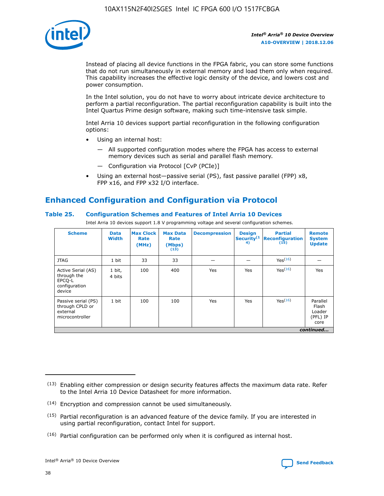

Instead of placing all device functions in the FPGA fabric, you can store some functions that do not run simultaneously in external memory and load them only when required. This capability increases the effective logic density of the device, and lowers cost and power consumption.

In the Intel solution, you do not have to worry about intricate device architecture to perform a partial reconfiguration. The partial reconfiguration capability is built into the Intel Quartus Prime design software, making such time-intensive task simple.

Intel Arria 10 devices support partial reconfiguration in the following configuration options:

- Using an internal host:
	- All supported configuration modes where the FPGA has access to external memory devices such as serial and parallel flash memory.
	- Configuration via Protocol [CvP (PCIe)]
- Using an external host—passive serial (PS), fast passive parallel (FPP) x8, FPP x16, and FPP x32 I/O interface.

# **Enhanced Configuration and Configuration via Protocol**

## **Table 25. Configuration Schemes and Features of Intel Arria 10 Devices**

Intel Arria 10 devices support 1.8 V programming voltage and several configuration schemes.

| <b>Scheme</b>                                                          | <b>Data</b><br><b>Width</b> | <b>Max Clock</b><br>Rate<br>(MHz) | <b>Max Data</b><br>Rate<br>(Mbps)<br>(13) | <b>Decompression</b> | <b>Design</b><br>Security <sup>(1</sup><br>4) | <b>Partial</b><br><b>Reconfiguration</b><br>(15) | <b>Remote</b><br><b>System</b><br><b>Update</b> |
|------------------------------------------------------------------------|-----------------------------|-----------------------------------|-------------------------------------------|----------------------|-----------------------------------------------|--------------------------------------------------|-------------------------------------------------|
| <b>JTAG</b>                                                            | 1 bit                       | 33                                | 33                                        |                      |                                               | Yes(16)                                          |                                                 |
| Active Serial (AS)<br>through the<br>EPCO-L<br>configuration<br>device | 1 bit,<br>4 bits            | 100                               | 400                                       | Yes                  | Yes                                           | $Y_{PS}(16)$                                     | Yes                                             |
| Passive serial (PS)<br>through CPLD or<br>external<br>microcontroller  | 1 bit                       | 100                               | 100                                       | Yes                  | Yes                                           | Yes(16)                                          | Parallel<br>Flash<br>Loader<br>(PFL) IP<br>core |
|                                                                        | continued                   |                                   |                                           |                      |                                               |                                                  |                                                 |

<sup>(13)</sup> Enabling either compression or design security features affects the maximum data rate. Refer to the Intel Arria 10 Device Datasheet for more information.

<sup>(14)</sup> Encryption and compression cannot be used simultaneously.

 $<sup>(15)</sup>$  Partial reconfiguration is an advanced feature of the device family. If you are interested in</sup> using partial reconfiguration, contact Intel for support.

 $(16)$  Partial configuration can be performed only when it is configured as internal host.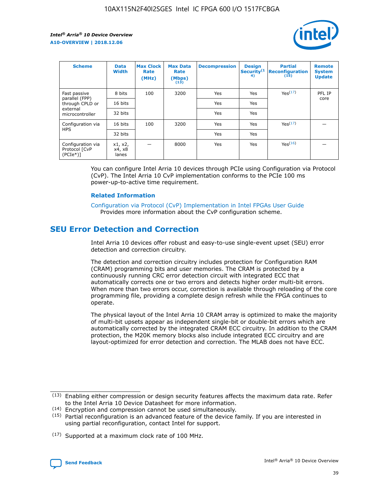

| <b>Scheme</b>                                   | <b>Data</b><br><b>Width</b> | <b>Max Clock</b><br>Rate<br>(MHz) | <b>Max Data</b><br>Rate<br>(Mbps)<br>(13) | <b>Decompression</b> | <b>Design</b><br>Security <sup>(1</sup><br>4) | <b>Partial</b><br><b>Reconfiguration</b><br>(15) | <b>Remote</b><br><b>System</b><br><b>Update</b> |
|-------------------------------------------------|-----------------------------|-----------------------------------|-------------------------------------------|----------------------|-----------------------------------------------|--------------------------------------------------|-------------------------------------------------|
| Fast passive                                    | 8 bits                      | 100                               | 3200                                      | Yes                  | Yes                                           | Yes(17)                                          | PFL IP                                          |
| parallel (FPP)<br>through CPLD or               | 16 bits                     |                                   |                                           | Yes                  | Yes                                           |                                                  | core                                            |
| external<br>microcontroller                     | 32 bits                     |                                   |                                           | Yes                  | Yes                                           |                                                  |                                                 |
| Configuration via                               | 16 bits                     | 100                               | 3200                                      | Yes                  | Yes                                           | Yes <sup>(17)</sup>                              |                                                 |
| <b>HPS</b>                                      | 32 bits                     |                                   |                                           | Yes                  | Yes                                           |                                                  |                                                 |
| Configuration via<br>Protocol [CvP<br>$(PCIe*)$ | x1, x2,<br>x4, x8<br>lanes  |                                   | 8000                                      | Yes                  | Yes                                           | Yes <sup>(16)</sup>                              |                                                 |

You can configure Intel Arria 10 devices through PCIe using Configuration via Protocol (CvP). The Intel Arria 10 CvP implementation conforms to the PCIe 100 ms power-up-to-active time requirement.

#### **Related Information**

[Configuration via Protocol \(CvP\) Implementation in Intel FPGAs User Guide](https://www.intel.com/content/www/us/en/programmable/documentation/dsu1441819344145.html#dsu1442269728522) Provides more information about the CvP configuration scheme.

# **SEU Error Detection and Correction**

Intel Arria 10 devices offer robust and easy-to-use single-event upset (SEU) error detection and correction circuitry.

The detection and correction circuitry includes protection for Configuration RAM (CRAM) programming bits and user memories. The CRAM is protected by a continuously running CRC error detection circuit with integrated ECC that automatically corrects one or two errors and detects higher order multi-bit errors. When more than two errors occur, correction is available through reloading of the core programming file, providing a complete design refresh while the FPGA continues to operate.

The physical layout of the Intel Arria 10 CRAM array is optimized to make the majority of multi-bit upsets appear as independent single-bit or double-bit errors which are automatically corrected by the integrated CRAM ECC circuitry. In addition to the CRAM protection, the M20K memory blocks also include integrated ECC circuitry and are layout-optimized for error detection and correction. The MLAB does not have ECC.

(14) Encryption and compression cannot be used simultaneously.

<sup>(17)</sup> Supported at a maximum clock rate of 100 MHz.



 $(13)$  Enabling either compression or design security features affects the maximum data rate. Refer to the Intel Arria 10 Device Datasheet for more information.

 $(15)$  Partial reconfiguration is an advanced feature of the device family. If you are interested in using partial reconfiguration, contact Intel for support.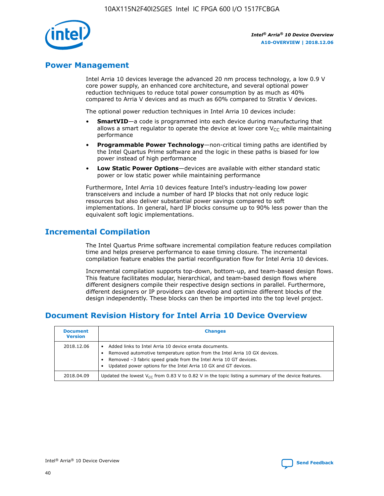

## **Power Management**

Intel Arria 10 devices leverage the advanced 20 nm process technology, a low 0.9 V core power supply, an enhanced core architecture, and several optional power reduction techniques to reduce total power consumption by as much as 40% compared to Arria V devices and as much as 60% compared to Stratix V devices.

The optional power reduction techniques in Intel Arria 10 devices include:

- **SmartVID**—a code is programmed into each device during manufacturing that allows a smart regulator to operate the device at lower core  $V_{CC}$  while maintaining performance
- **Programmable Power Technology**—non-critical timing paths are identified by the Intel Quartus Prime software and the logic in these paths is biased for low power instead of high performance
- **Low Static Power Options**—devices are available with either standard static power or low static power while maintaining performance

Furthermore, Intel Arria 10 devices feature Intel's industry-leading low power transceivers and include a number of hard IP blocks that not only reduce logic resources but also deliver substantial power savings compared to soft implementations. In general, hard IP blocks consume up to 90% less power than the equivalent soft logic implementations.

# **Incremental Compilation**

The Intel Quartus Prime software incremental compilation feature reduces compilation time and helps preserve performance to ease timing closure. The incremental compilation feature enables the partial reconfiguration flow for Intel Arria 10 devices.

Incremental compilation supports top-down, bottom-up, and team-based design flows. This feature facilitates modular, hierarchical, and team-based design flows where different designers compile their respective design sections in parallel. Furthermore, different designers or IP providers can develop and optimize different blocks of the design independently. These blocks can then be imported into the top level project.

# **Document Revision History for Intel Arria 10 Device Overview**

| <b>Document</b><br><b>Version</b> | <b>Changes</b>                                                                                                                                                                                                                                                              |
|-----------------------------------|-----------------------------------------------------------------------------------------------------------------------------------------------------------------------------------------------------------------------------------------------------------------------------|
| 2018.12.06                        | Added links to Intel Arria 10 device errata documents.<br>Removed automotive temperature option from the Intel Arria 10 GX devices.<br>Removed -3 fabric speed grade from the Intel Arria 10 GT devices.<br>Updated power options for the Intel Arria 10 GX and GT devices. |
| 2018.04.09                        | Updated the lowest $V_{CC}$ from 0.83 V to 0.82 V in the topic listing a summary of the device features.                                                                                                                                                                    |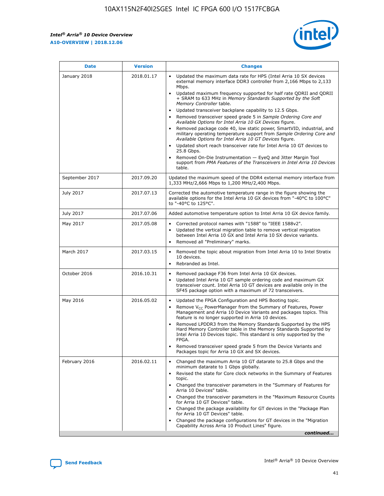

| <b>Date</b>    | <b>Version</b> | <b>Changes</b>                                                                                                                                                                                                                                                                                                                                                                                                                                                                                                                                                                                                                                                                                                                                                                                                                                                                                                                                               |
|----------------|----------------|--------------------------------------------------------------------------------------------------------------------------------------------------------------------------------------------------------------------------------------------------------------------------------------------------------------------------------------------------------------------------------------------------------------------------------------------------------------------------------------------------------------------------------------------------------------------------------------------------------------------------------------------------------------------------------------------------------------------------------------------------------------------------------------------------------------------------------------------------------------------------------------------------------------------------------------------------------------|
| January 2018   | 2018.01.17     | Updated the maximum data rate for HPS (Intel Arria 10 SX devices<br>external memory interface DDR3 controller from 2,166 Mbps to 2,133<br>Mbps.<br>Updated maximum frequency supported for half rate QDRII and QDRII<br>+ SRAM to 633 MHz in Memory Standards Supported by the Soft<br>Memory Controller table.<br>Updated transceiver backplane capability to 12.5 Gbps.<br>Removed transceiver speed grade 5 in Sample Ordering Core and<br>Available Options for Intel Arria 10 GX Devices figure.<br>Removed package code 40, low static power, SmartVID, industrial, and<br>military operating temperature support from Sample Ordering Core and<br>Available Options for Intel Arria 10 GT Devices figure.<br>Updated short reach transceiver rate for Intel Arria 10 GT devices to<br>25.8 Gbps.<br>Removed On-Die Instrumentation - EyeQ and Jitter Margin Tool<br>support from PMA Features of the Transceivers in Intel Arria 10 Devices<br>table. |
| September 2017 | 2017.09.20     | Updated the maximum speed of the DDR4 external memory interface from<br>1,333 MHz/2,666 Mbps to 1,200 MHz/2,400 Mbps.                                                                                                                                                                                                                                                                                                                                                                                                                                                                                                                                                                                                                                                                                                                                                                                                                                        |
| July 2017      | 2017.07.13     | Corrected the automotive temperature range in the figure showing the<br>available options for the Intel Arria 10 GX devices from "-40°C to 100°C"<br>to "-40°C to 125°C".                                                                                                                                                                                                                                                                                                                                                                                                                                                                                                                                                                                                                                                                                                                                                                                    |
| July 2017      | 2017.07.06     | Added automotive temperature option to Intel Arria 10 GX device family.                                                                                                                                                                                                                                                                                                                                                                                                                                                                                                                                                                                                                                                                                                                                                                                                                                                                                      |
| May 2017       | 2017.05.08     | Corrected protocol names with "1588" to "IEEE 1588v2".<br>Updated the vertical migration table to remove vertical migration<br>$\bullet$<br>between Intel Arria 10 GX and Intel Arria 10 SX device variants.<br>Removed all "Preliminary" marks.                                                                                                                                                                                                                                                                                                                                                                                                                                                                                                                                                                                                                                                                                                             |
| March 2017     | 2017.03.15     | Removed the topic about migration from Intel Arria 10 to Intel Stratix<br>10 devices.<br>Rebranded as Intel.<br>$\bullet$                                                                                                                                                                                                                                                                                                                                                                                                                                                                                                                                                                                                                                                                                                                                                                                                                                    |
| October 2016   | 2016.10.31     | Removed package F36 from Intel Arria 10 GX devices.<br>Updated Intel Arria 10 GT sample ordering code and maximum GX<br>$\bullet$<br>transceiver count. Intel Arria 10 GT devices are available only in the<br>SF45 package option with a maximum of 72 transceivers.                                                                                                                                                                                                                                                                                                                                                                                                                                                                                                                                                                                                                                                                                        |
| May 2016       | 2016.05.02     | Updated the FPGA Configuration and HPS Booting topic.<br>$\bullet$<br>Remove V <sub>CC</sub> PowerManager from the Summary of Features, Power<br>Management and Arria 10 Device Variants and packages topics. This<br>feature is no longer supported in Arria 10 devices.<br>Removed LPDDR3 from the Memory Standards Supported by the HPS<br>Hard Memory Controller table in the Memory Standards Supported by<br>Intel Arria 10 Devices topic. This standard is only supported by the<br>FPGA.<br>Removed transceiver speed grade 5 from the Device Variants and<br>Packages topic for Arria 10 GX and SX devices.                                                                                                                                                                                                                                                                                                                                         |
| February 2016  | 2016.02.11     | Changed the maximum Arria 10 GT datarate to 25.8 Gbps and the<br>minimum datarate to 1 Gbps globally.<br>Revised the state for Core clock networks in the Summary of Features<br>topic.<br>Changed the transceiver parameters in the "Summary of Features for<br>Arria 10 Devices" table.<br>Changed the transceiver parameters in the "Maximum Resource Counts"<br>for Arria 10 GT Devices" table.<br>Changed the package availability for GT devices in the "Package Plan<br>for Arria 10 GT Devices" table.<br>Changed the package configurations for GT devices in the "Migration"<br>Capability Across Arria 10 Product Lines" figure.<br>continued                                                                                                                                                                                                                                                                                                     |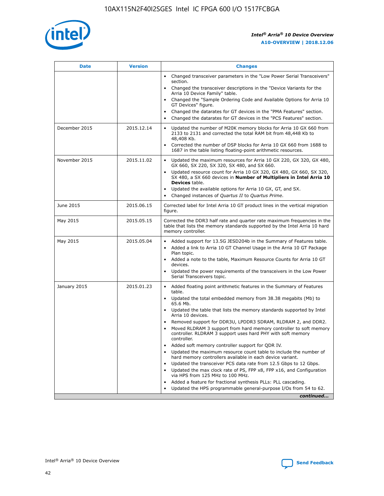

| <b>Date</b>   | <b>Version</b> | <b>Changes</b>                                                                                                                                                               |
|---------------|----------------|------------------------------------------------------------------------------------------------------------------------------------------------------------------------------|
|               |                | • Changed transceiver parameters in the "Low Power Serial Transceivers"<br>section.                                                                                          |
|               |                | • Changed the transceiver descriptions in the "Device Variants for the<br>Arria 10 Device Family" table.                                                                     |
|               |                | Changed the "Sample Ordering Code and Available Options for Arria 10<br>$\bullet$<br>GT Devices" figure.                                                                     |
|               |                | Changed the datarates for GT devices in the "PMA Features" section.                                                                                                          |
|               |                | Changed the datarates for GT devices in the "PCS Features" section.<br>$\bullet$                                                                                             |
| December 2015 | 2015.12.14     | Updated the number of M20K memory blocks for Arria 10 GX 660 from<br>2133 to 2131 and corrected the total RAM bit from 48,448 Kb to<br>48,408 Kb.                            |
|               |                | Corrected the number of DSP blocks for Arria 10 GX 660 from 1688 to<br>1687 in the table listing floating-point arithmetic resources.                                        |
| November 2015 | 2015.11.02     | Updated the maximum resources for Arria 10 GX 220, GX 320, GX 480,<br>$\bullet$<br>GX 660, SX 220, SX 320, SX 480, and SX 660.                                               |
|               |                | • Updated resource count for Arria 10 GX 320, GX 480, GX 660, SX 320,<br>SX 480, a SX 660 devices in Number of Multipliers in Intel Arria 10<br><b>Devices</b> table.        |
|               |                | Updated the available options for Arria 10 GX, GT, and SX.                                                                                                                   |
|               |                | Changed instances of Quartus II to Quartus Prime.<br>$\bullet$                                                                                                               |
| June 2015     | 2015.06.15     | Corrected label for Intel Arria 10 GT product lines in the vertical migration<br>figure.                                                                                     |
| May 2015      | 2015.05.15     | Corrected the DDR3 half rate and quarter rate maximum frequencies in the<br>table that lists the memory standards supported by the Intel Arria 10 hard<br>memory controller. |
| May 2015      | 2015.05.04     | • Added support for 13.5G JESD204b in the Summary of Features table.                                                                                                         |
|               |                | • Added a link to Arria 10 GT Channel Usage in the Arria 10 GT Package<br>Plan topic.                                                                                        |
|               |                | • Added a note to the table, Maximum Resource Counts for Arria 10 GT<br>devices.                                                                                             |
|               |                | • Updated the power requirements of the transceivers in the Low Power<br>Serial Transceivers topic.                                                                          |
| January 2015  | 2015.01.23     | • Added floating point arithmetic features in the Summary of Features<br>table.                                                                                              |
|               |                | • Updated the total embedded memory from 38.38 megabits (Mb) to<br>65.6 Mb.                                                                                                  |
|               |                | • Updated the table that lists the memory standards supported by Intel<br>Arria 10 devices.                                                                                  |
|               |                | Removed support for DDR3U, LPDDR3 SDRAM, RLDRAM 2, and DDR2.                                                                                                                 |
|               |                | Moved RLDRAM 3 support from hard memory controller to soft memory<br>controller. RLDRAM 3 support uses hard PHY with soft memory<br>controller.                              |
|               |                | Added soft memory controller support for QDR IV.<br>٠                                                                                                                        |
|               |                | Updated the maximum resource count table to include the number of<br>hard memory controllers available in each device variant.                                               |
|               |                | Updated the transceiver PCS data rate from 12.5 Gbps to 12 Gbps.<br>$\bullet$                                                                                                |
|               |                | Updated the max clock rate of PS, FPP x8, FPP x16, and Configuration<br>via HPS from 125 MHz to 100 MHz.                                                                     |
|               |                | Added a feature for fractional synthesis PLLs: PLL cascading.                                                                                                                |
|               |                | Updated the HPS programmable general-purpose I/Os from 54 to 62.<br>$\bullet$                                                                                                |
|               |                | continued                                                                                                                                                                    |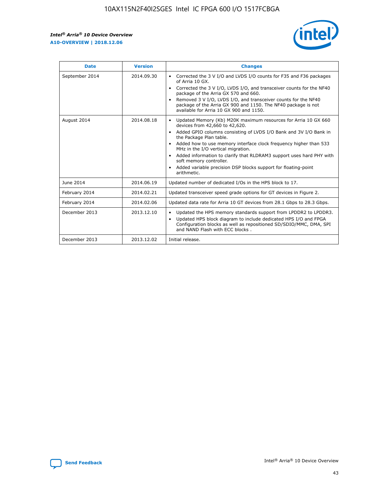r



| <b>Date</b>    | <b>Version</b> | <b>Changes</b>                                                                                                                                                                                                                                                                                                                                                                                                                                                                                                                                      |
|----------------|----------------|-----------------------------------------------------------------------------------------------------------------------------------------------------------------------------------------------------------------------------------------------------------------------------------------------------------------------------------------------------------------------------------------------------------------------------------------------------------------------------------------------------------------------------------------------------|
| September 2014 | 2014.09.30     | Corrected the 3 V I/O and LVDS I/O counts for F35 and F36 packages<br>$\bullet$<br>of Arria 10 GX.<br>Corrected the 3 V I/O, LVDS I/O, and transceiver counts for the NF40<br>$\bullet$<br>package of the Arria GX 570 and 660.<br>Removed 3 V I/O, LVDS I/O, and transceiver counts for the NF40<br>package of the Arria GX 900 and 1150. The NF40 package is not<br>available for Arria 10 GX 900 and 1150.                                                                                                                                       |
| August 2014    | 2014.08.18     | Updated Memory (Kb) M20K maximum resources for Arria 10 GX 660<br>devices from 42,660 to 42,620.<br>Added GPIO columns consisting of LVDS I/O Bank and 3V I/O Bank in<br>$\bullet$<br>the Package Plan table.<br>Added how to use memory interface clock frequency higher than 533<br>$\bullet$<br>MHz in the I/O vertical migration.<br>Added information to clarify that RLDRAM3 support uses hard PHY with<br>$\bullet$<br>soft memory controller.<br>Added variable precision DSP blocks support for floating-point<br>$\bullet$<br>arithmetic. |
| June 2014      | 2014.06.19     | Updated number of dedicated I/Os in the HPS block to 17.                                                                                                                                                                                                                                                                                                                                                                                                                                                                                            |
| February 2014  | 2014.02.21     | Updated transceiver speed grade options for GT devices in Figure 2.                                                                                                                                                                                                                                                                                                                                                                                                                                                                                 |
| February 2014  | 2014.02.06     | Updated data rate for Arria 10 GT devices from 28.1 Gbps to 28.3 Gbps.                                                                                                                                                                                                                                                                                                                                                                                                                                                                              |
| December 2013  | 2013.12.10     | Updated the HPS memory standards support from LPDDR2 to LPDDR3.<br>Updated HPS block diagram to include dedicated HPS I/O and FPGA<br>$\bullet$<br>Configuration blocks as well as repositioned SD/SDIO/MMC, DMA, SPI<br>and NAND Flash with ECC blocks.                                                                                                                                                                                                                                                                                            |
| December 2013  | 2013.12.02     | Initial release.                                                                                                                                                                                                                                                                                                                                                                                                                                                                                                                                    |